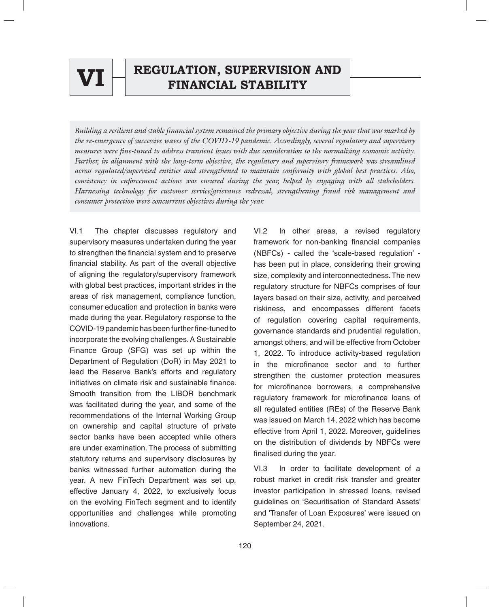

# $\mathbf{V}\mathbf{I}$   $\begin{array}{|c|} \hline \text{REGULATION, SUPERVISION AND} \end{array}$

*Building a resilient and stable financial system remained the primary objective during the year that was marked by the re-emergence of successive waves of the COVID-19 pandemic. Accordingly, several regulatory and supervisory measures were fine-tuned to address transient issues with due consideration to the normalising economic activity. Further, in alignment with the long-term objective, the regulatory and supervisory framework was streamlined across regulated/supervised entities and strengthened to maintain conformity with global best practices. Also, consistency in enforcement actions was ensured during the year, helped by engaging with all stakeholders. Harnessing technology for customer service/grievance redressal, strengthening fraud risk management and consumer protection were concurrent objectives during the year.*

VI.1 The chapter discusses regulatory and supervisory measures undertaken during the year to strengthen the financial system and to preserve financial stability. As part of the overall objective of aligning the regulatory/supervisory framework with global best practices, important strides in the areas of risk management, compliance function, consumer education and protection in banks were made during the year. Regulatory response to the COVID-19 pandemic has been further fine-tuned to incorporate the evolving challenges. A Sustainable Finance Group (SFG) was set up within the Department of Regulation (DoR) in May 2021 to lead the Reserve Bank's efforts and regulatory initiatives on climate risk and sustainable finance. Smooth transition from the LIBOR benchmark was facilitated during the year, and some of the recommendations of the Internal Working Group on ownership and capital structure of private sector banks have been accepted while others are under examination. The process of submitting statutory returns and supervisory disclosures by banks witnessed further automation during the year. A new FinTech Department was set up, effective January 4, 2022, to exclusively focus on the evolving FinTech segment and to identify opportunities and challenges while promoting innovations.

VI.2 In other areas, a revised regulatory framework for non-banking financial companies (NBFCs) - called the 'scale-based regulation' has been put in place, considering their growing size, complexity and interconnectedness. The new regulatory structure for NBFCs comprises of four layers based on their size, activity, and perceived riskiness, and encompasses different facets of regulation covering capital requirements, governance standards and prudential regulation, amongst others, and will be effective from October 1, 2022. To introduce activity-based regulation in the microfinance sector and to further strengthen the customer protection measures for microfinance borrowers, a comprehensive regulatory framework for microfinance loans of all regulated entities (REs) of the Reserve Bank was issued on March 14, 2022 which has become effective from April 1, 2022. Moreover, guidelines on the distribution of dividends by NBFCs were finalised during the year.

VI.3 In order to facilitate development of a robust market in credit risk transfer and greater investor participation in stressed loans, revised guidelines on 'Securitisation of Standard Assets' and 'Transfer of Loan Exposures' were issued on September 24, 2021.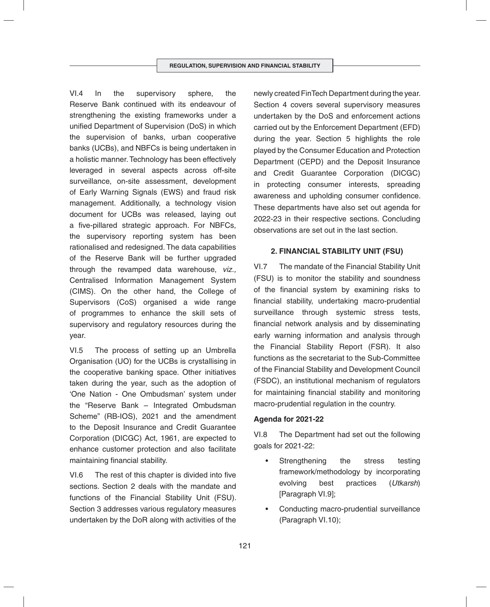VI.4 In the supervisory sphere, the Reserve Bank continued with its endeavour of strengthening the existing frameworks under a unified Department of Supervision (DoS) in which the supervision of banks, urban cooperative banks (UCBs), and NBFCs is being undertaken in a holistic manner. Technology has been effectively leveraged in several aspects across off-site surveillance, on-site assessment, development of Early Warning Signals (EWS) and fraud risk management. Additionally, a technology vision document for UCBs was released, laying out a five-pillared strategic approach. For NBFCs, the supervisory reporting system has been rationalised and redesigned. The data capabilities of the Reserve Bank will be further upgraded through the revamped data warehouse, *viz.,* Centralised Information Management System (CIMS). On the other hand, the College of Supervisors (CoS) organised a wide range of programmes to enhance the skill sets of supervisory and regulatory resources during the year.

VI.5 The process of setting up an Umbrella Organisation (UO) for the UCBs is crystallising in the cooperative banking space. Other initiatives taken during the year, such as the adoption of 'One Nation - One Ombudsman' system under the "Reserve Bank – Integrated Ombudsman Scheme" (RB-IOS), 2021 and the amendment to the Deposit Insurance and Credit Guarantee Corporation (DICGC) Act, 1961, are expected to enhance customer protection and also facilitate maintaining financial stability.

VI.6 The rest of this chapter is divided into five sections. Section 2 deals with the mandate and functions of the Financial Stability Unit (FSU). Section 3 addresses various regulatory measures undertaken by the DoR along with activities of the newly created FinTech Department during the year. Section 4 covers several supervisory measures undertaken by the DoS and enforcement actions carried out by the Enforcement Department (EFD) during the year. Section 5 highlights the role played by the Consumer Education and Protection Department (CEPD) and the Deposit Insurance and Credit Guarantee Corporation (DICGC) in protecting consumer interests, spreading awareness and upholding consumer confidence. These departments have also set out agenda for 2022-23 in their respective sections. Concluding observations are set out in the last section.

## **2. FINANCIAL STABILITY UNIT (FSU)**

VI.7 The mandate of the Financial Stability Unit (FSU) is to monitor the stability and soundness of the financial system by examining risks to financial stability, undertaking macro-prudential surveillance through systemic stress tests, financial network analysis and by disseminating early warning information and analysis through the Financial Stability Report (FSR). It also functions as the secretariat to the Sub-Committee of the Financial Stability and Development Council (FSDC), an institutional mechanism of regulators for maintaining financial stability and monitoring macro-prudential regulation in the country.

#### **Agenda for 2021-22**

VI.8 The Department had set out the following goals for 2021-22:

- Strengthening the stress testing framework/methodology by incorporating evolving best practices (*Utkarsh*) [Paragraph VI.9];
- Conducting macro-prudential surveillance (Paragraph VI.10);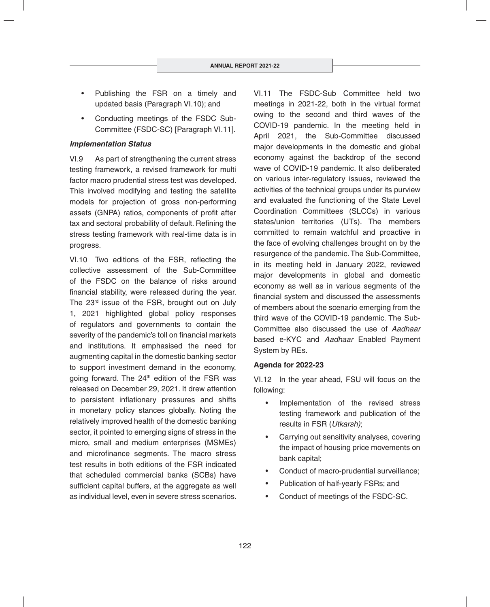- Publishing the FSR on a timely and updated basis (Paragraph VI.10); and
- Conducting meetings of the FSDC Sub-Committee (FSDC-SC) [Paragraph VI.11].

## *Implementation Status*

VI.9 As part of strengthening the current stress testing framework, a revised framework for multi factor macro prudential stress test was developed. This involved modifying and testing the satellite models for projection of gross non-performing assets (GNPA) ratios, components of profit after tax and sectoral probability of default. Refining the stress testing framework with real-time data is in progress.

VI.10 Two editions of the FSR, reflecting the collective assessment of the Sub-Committee of the FSDC on the balance of risks around financial stability, were released during the year. The 23<sup>rd</sup> issue of the FSR, brought out on July 1, 2021 highlighted global policy responses of regulators and governments to contain the severity of the pandemic's toll on financial markets and institutions. It emphasised the need for augmenting capital in the domestic banking sector to support investment demand in the economy, going forward. The  $24<sup>th</sup>$  edition of the FSR was released on December 29, 2021. It drew attention to persistent inflationary pressures and shifts in monetary policy stances globally. Noting the relatively improved health of the domestic banking sector, it pointed to emerging signs of stress in the micro, small and medium enterprises (MSMEs) and microfinance segments. The macro stress test results in both editions of the FSR indicated that scheduled commercial banks (SCBs) have sufficient capital buffers, at the aggregate as well as individual level, even in severe stress scenarios.

VI.11 The FSDC-Sub Committee held two meetings in 2021-22, both in the virtual format owing to the second and third waves of the COVID-19 pandemic. In the meeting held in April 2021, the Sub-Committee discussed major developments in the domestic and global economy against the backdrop of the second wave of COVID-19 pandemic. It also deliberated on various inter-regulatory issues, reviewed the activities of the technical groups under its purview and evaluated the functioning of the State Level Coordination Committees (SLCCs) in various states/union territories (UTs). The members committed to remain watchful and proactive in the face of evolving challenges brought on by the resurgence of the pandemic. The Sub-Committee, in its meeting held in January 2022, reviewed major developments in global and domestic economy as well as in various segments of the financial system and discussed the assessments of members about the scenario emerging from the third wave of the COVID-19 pandemic. The Sub-Committee also discussed the use of *Aadhaar* based e-KYC and *Aadhaar* Enabled Payment System by REs.

## **Agenda for 2022-23**

VI.12 In the year ahead, FSU will focus on the following:

- Implementation of the revised stress testing framework and publication of the results in FSR (*Utkarsh)*;
- Carrying out sensitivity analyses, covering the impact of housing price movements on bank capital;
- Conduct of macro-prudential surveillance;
- Publication of half-yearly FSRs; and
- Conduct of meetings of the FSDC-SC.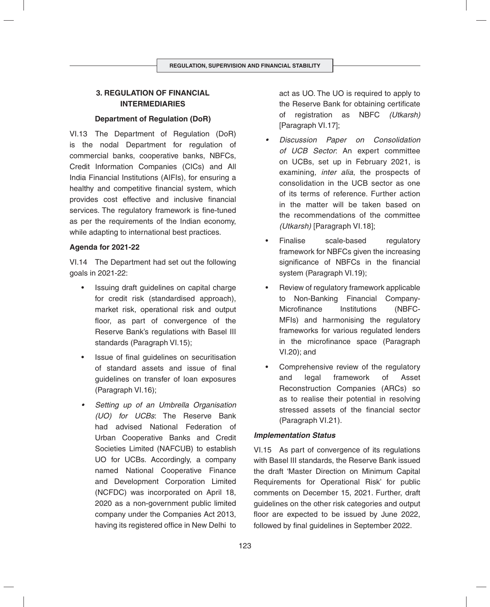# **3. REGULATION OF FINANCIAL INTERMEDIARIES**

## **Department of Regulation (DoR)**

VI.13 The Department of Regulation (DoR) is the nodal Department for regulation of commercial banks, cooperative banks, NBFCs, Credit Information Companies (CICs) and All India Financial Institutions (AIFIs), for ensuring a healthy and competitive financial system, which provides cost effective and inclusive financial services. The regulatory framework is fine-tuned as per the requirements of the Indian economy, while adapting to international best practices.

## **Agenda for 2021-22**

VI.14 The Department had set out the following goals in 2021-22:

- Issuing draft guidelines on capital charge for credit risk (standardised approach), market risk, operational risk and output floor, as part of convergence of the Reserve Bank's regulations with Basel III standards (Paragraph VI.15);
- Issue of final quidelines on securitisation of standard assets and issue of final guidelines on transfer of loan exposures (Paragraph VI.16);
- *Setting up of an Umbrella Organisation (UO) for UCBs*: The Reserve Bank had advised National Federation of Urban Cooperative Banks and Credit Societies Limited (NAFCUB) to establish UO for UCBs. Accordingly, a company named National Cooperative Finance and Development Corporation Limited (NCFDC) was incorporated on April 18, 2020 as a non-government public limited company under the Companies Act 2013, having its registered office in New Delhi to

act as UO. The UO is required to apply to the Reserve Bank for obtaining certificate of registration as NBFC *(Utkarsh)*  [Paragraph VI.17];

- *Discussion Paper on Consolidation of UCB Sector*: An expert committee on UCBs, set up in February 2021, is examining*, inter alia*, the prospects of consolidation in the UCB sector as one of its terms of reference. Further action in the matter will be taken based on the recommendations of the committee *(Utkarsh)* [Paragraph VI.18];
- Finalise scale-based regulatory framework for NBFCs given the increasing significance of NBFCs in the financial system (Paragraph VI.19);
- Review of regulatory framework applicable to Non-Banking Financial Company-Microfinance Institutions (NBFC-MFIs) and harmonising the regulatory frameworks for various regulated lenders in the microfinance space (Paragraph VI.20); and
- Comprehensive review of the regulatory and legal framework of Asset Reconstruction Companies (ARCs) so as to realise their potential in resolving stressed assets of the financial sector (Paragraph VI.21).

## *Implementation Status*

VI.15 As part of convergence of its regulations with Basel III standards, the Reserve Bank issued the draft 'Master Direction on Minimum Capital Requirements for Operational Risk' for public comments on December 15, 2021. Further, draft guidelines on the other risk categories and output floor are expected to be issued by June 2022, followed by final quidelines in September 2022.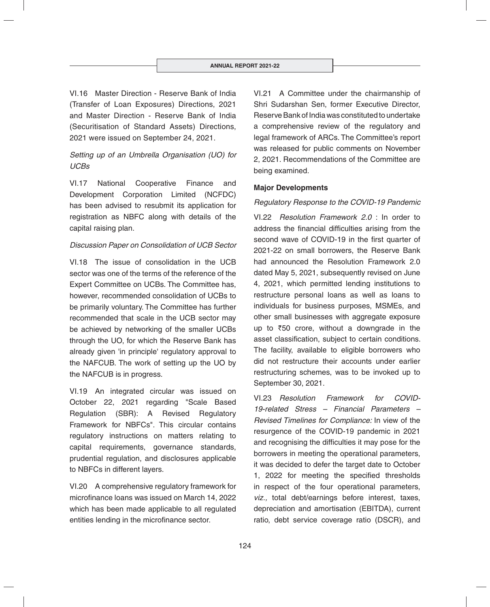VI.16 Master Direction - Reserve Bank of India (Transfer of Loan Exposures) Directions, 2021 and Master Direction - Reserve Bank of India (Securitisation of Standard Assets) Directions, 2021 were issued on September 24, 2021.

# *Setting up of an Umbrella Organisation (UO) for UCBs*

VI.17 National Cooperative Finance and Development Corporation Limited (NCFDC) has been advised to resubmit its application for registration as NBFC along with details of the capital raising plan.

## *Discussion Paper on Consolidation of UCB Sector*

VI.18 The issue of consolidation in the UCB sector was one of the terms of the reference of the Expert Committee on UCBs. The Committee has, however, recommended consolidation of UCBs to be primarily voluntary. The Committee has further recommended that scale in the UCB sector may be achieved by networking of the smaller UCBs through the UO, for which the Reserve Bank has already given 'in principle' regulatory approval to the NAFCUB. The work of setting up the UO by the NAFCUB is in progress.

VI.19 An integrated circular was issued on October 22, 2021 regarding "Scale Based Regulation (SBR): A Revised Regulatory Framework for NBFCs". This circular contains regulatory instructions on matters relating to capital requirements, governance standards, prudential regulation, and disclosures applicable to NBFCs in different layers.

VI.20 A comprehensive regulatory framework for microfinance loans was issued on March 14, 2022 which has been made applicable to all regulated entities lending in the microfinance sector.

VI.21 A Committee under the chairmanship of Shri Sudarshan Sen, former Executive Director, Reserve Bank of India was constituted to undertake a comprehensive review of the regulatory and legal framework of ARCs. The Committee's report was released for public comments on November 2, 2021. Recommendations of the Committee are being examined.

## **Major Developments**

## *Regulatory Response to the COVID-19 Pandemic*

VI.22 *Resolution Framework 2.0* : In order to address the financial difficulties arising from the second wave of COVID-19 in the first quarter of 2021-22 on small borrowers, the Reserve Bank had announced the Resolution Framework 2.0 dated May 5, 2021, subsequently revised on June 4, 2021, which permitted lending institutions to restructure personal loans as well as loans to individuals for business purposes, MSMEs, and other small businesses with aggregate exposure up to  $\overline{50}$  crore, without a downgrade in the asset classification, subject to certain conditions. The facility, available to eligible borrowers who did not restructure their accounts under earlier restructuring schemes, was to be invoked up to September 30, 2021.

VI.23 *Resolution Framework for COVID-19-related Stress – Financial Parameters – Revised Timelines for Compliance:* In view of the resurgence of the COVID-19 pandemic in 2021 and recognising the difficulties it may pose for the borrowers in meeting the operational parameters, it was decided to defer the target date to October 1, 2022 for meeting the specified thresholds in respect of the four operational parameters, *viz.,* total debt/earnings before interest, taxes, depreciation and amortisation (EBITDA), current ratio, debt service coverage ratio (DSCR), and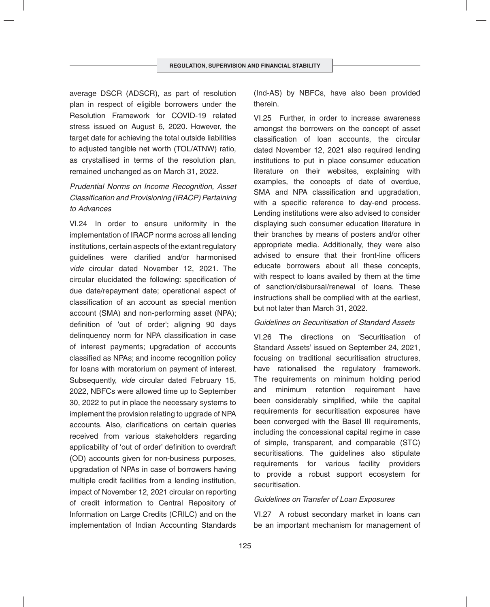average DSCR (ADSCR), as part of resolution plan in respect of eligible borrowers under the Resolution Framework for COVID-19 related stress issued on August 6, 2020. However, the target date for achieving the total outside liabilities to adjusted tangible net worth (TOL/ATNW) ratio, as crystallised in terms of the resolution plan, remained unchanged as on March 31, 2022.

# *Prudential Norms on Income Recognition, Asset Classifi cation and Provisioning (IRACP) Pertaining to Advances*

VI.24 In order to ensure uniformity in the implementation of IRACP norms across all lending institutions, certain aspects of the extant regulatory quidelines were clarified and/or harmonised *vide* circular dated November 12, 2021. The circular elucidated the following: specification of due date/repayment date; operational aspect of classification of an account as special mention account (SMA) and non-performing asset (NPA); definition of 'out of order'; aligning 90 days delinquency norm for NPA classification in case of interest payments; upgradation of accounts classified as NPAs; and income recognition policy for loans with moratorium on payment of interest. Subsequently, *vide* circular dated February 15, 2022, NBFCs were allowed time up to September 30, 2022 to put in place the necessary systems to implement the provision relating to upgrade of NPA accounts. Also, clarifications on certain queries received from various stakeholders regarding applicability of 'out of order' definition to overdraft (OD) accounts given for non-business purposes, upgradation of NPAs in case of borrowers having multiple credit facilities from a lending institution, impact of November 12, 2021 circular on reporting of credit information to Central Repository of Information on Large Credits (CRILC) and on the implementation of Indian Accounting Standards

(Ind-AS) by NBFCs, have also been provided therein.

VI.25 Further, in order to increase awareness amongst the borrowers on the concept of asset classification of loan accounts, the circular dated November 12, 2021 also required lending institutions to put in place consumer education literature on their websites, explaining with examples, the concepts of date of overdue, SMA and NPA classification and upgradation, with a specific reference to day-end process. Lending institutions were also advised to consider displaying such consumer education literature in their branches by means of posters and/or other appropriate media. Additionally, they were also advised to ensure that their front-line officers educate borrowers about all these concepts, with respect to loans availed by them at the time of sanction/disbursal/renewal of loans. These instructions shall be complied with at the earliest, but not later than March 31, 2022.

#### *Guidelines on Securitisation of Standard Assets*

VI.26 The directions on 'Securitisation of Standard Assets' issued on September 24, 2021, focusing on traditional securitisation structures, have rationalised the regulatory framework. The requirements on minimum holding period and minimum retention requirement have been considerably simplified, while the capital requirements for securitisation exposures have been converged with the Basel III requirements, including the concessional capital regime in case of simple, transparent, and comparable (STC) securitisations. The guidelines also stipulate requirements for various facility providers to provide a robust support ecosystem for securitisation.

#### *Guidelines on Transfer of Loan Exposures*

VI.27 A robust secondary market in loans can be an important mechanism for management of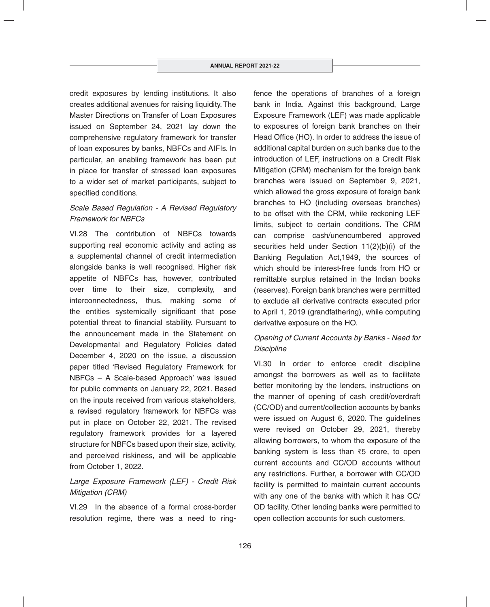credit exposures by lending institutions. It also creates additional avenues for raising liquidity. The Master Directions on Transfer of Loan Exposures issued on September 24, 2021 lay down the comprehensive regulatory framework for transfer of loan exposures by banks, NBFCs and AIFIs. In particular, an enabling framework has been put in place for transfer of stressed loan exposures to a wider set of market participants, subject to specified conditions.

## *Scale Based Regulation - A Revised Regulatory Framework for NBFCs*

VI.28 The contribution of NBFCs towards supporting real economic activity and acting as a supplemental channel of credit intermediation alongside banks is well recognised. Higher risk appetite of NBFCs has, however, contributed over time to their size, complexity, and interconnectedness, thus, making some of the entities systemically significant that pose potential threat to financial stability. Pursuant to the announcement made in the Statement on Developmental and Regulatory Policies dated December 4, 2020 on the issue, a discussion paper titled 'Revised Regulatory Framework for NBFCs – A Scale-based Approach' was issued for public comments on January 22, 2021. Based on the inputs received from various stakeholders, a revised regulatory framework for NBFCs was put in place on October 22, 2021. The revised regulatory framework provides for a layered structure for NBFCs based upon their size, activity, and perceived riskiness, and will be applicable from October 1, 2022.

# *Large Exposure Framework (LEF) - Credit Risk Mitigation (CRM)*

VI.29 In the absence of a formal cross-border resolution regime, there was a need to ringfence the operations of branches of a foreign bank in India. Against this background, Large Exposure Framework (LEF) was made applicable to exposures of foreign bank branches on their Head Office (HO). In order to address the issue of additional capital burden on such banks due to the introduction of LEF, instructions on a Credit Risk Mitigation (CRM) mechanism for the foreign bank branches were issued on September 9, 2021, which allowed the gross exposure of foreign bank branches to HO (including overseas branches) to be offset with the CRM, while reckoning LEF limits, subject to certain conditions. The CRM can comprise cash/unencumbered approved securities held under Section 11(2)(b)(i) of the Banking Regulation Act,1949, the sources of which should be interest-free funds from HO or remittable surplus retained in the Indian books (reserves). Foreign bank branches were permitted to exclude all derivative contracts executed prior to April 1, 2019 (grandfathering), while computing derivative exposure on the HO.

# *Opening of Current Accounts by Banks - Need for Discipline*

VI.30 In order to enforce credit discipline amongst the borrowers as well as to facilitate better monitoring by the lenders, instructions on the manner of opening of cash credit/overdraft (CC/OD) and current/collection accounts by banks were issued on August 6, 2020. The guidelines were revised on October 29, 2021, thereby allowing borrowers, to whom the exposure of the banking system is less than  $\overline{5}$  crore, to open current accounts and CC/OD accounts without any restrictions. Further, a borrower with CC/OD facility is permitted to maintain current accounts with any one of the banks with which it has CC/ OD facility. Other lending banks were permitted to open collection accounts for such customers.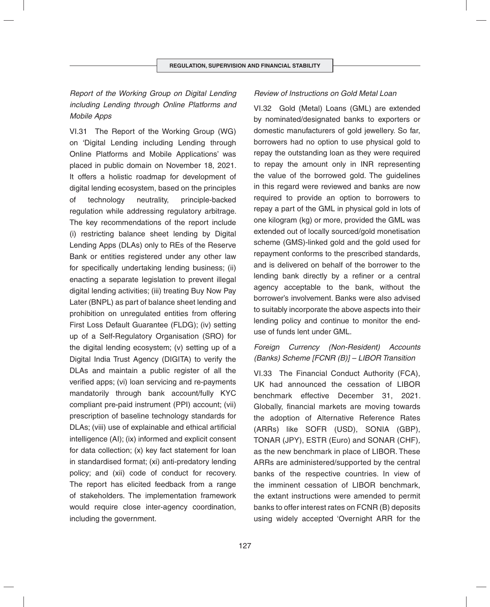VI.31 The Report of the Working Group (WG) on 'Digital Lending including Lending through Online Platforms and Mobile Applications' was placed in public domain on November 18, 2021. It offers a holistic roadmap for development of digital lending ecosystem, based on the principles of technology neutrality, principle-backed regulation while addressing regulatory arbitrage. The key recommendations of the report include (i) restricting balance sheet lending by Digital Lending Apps (DLAs) only to REs of the Reserve Bank or entities registered under any other law for specifically undertaking lending business; (ii) enacting a separate legislation to prevent illegal digital lending activities; (iii) treating Buy Now Pay Later (BNPL) as part of balance sheet lending and prohibition on unregulated entities from offering First Loss Default Guarantee (FLDG); (iv) setting up of a Self-Regulatory Organisation (SRO) for the digital lending ecosystem; (v) setting up of a Digital India Trust Agency (DIGITA) to verify the DLAs and maintain a public register of all the verified apps; (vi) loan servicing and re-payments mandatorily through bank account/fully KYC compliant pre-paid instrument (PPI) account; (vii) prescription of baseline technology standards for DLAs; (viii) use of explainable and ethical artificial intelligence (AI); (ix) informed and explicit consent for data collection; (x) key fact statement for loan in standardised format; (xi) anti-predatory lending policy; and (xii) code of conduct for recovery. The report has elicited feedback from a range of stakeholders. The implementation framework would require close inter-agency coordination, including the government.

VI.32 Gold (Metal) Loans (GML) are extended by nominated/designated banks to exporters or domestic manufacturers of gold jewellery. So far, borrowers had no option to use physical gold to repay the outstanding loan as they were required to repay the amount only in INR representing the value of the borrowed gold. The guidelines in this regard were reviewed and banks are now required to provide an option to borrowers to repay a part of the GML in physical gold in lots of one kilogram (kg) or more, provided the GML was extended out of locally sourced/gold monetisation scheme (GMS)-linked gold and the gold used for repayment conforms to the prescribed standards, and is delivered on behalf of the borrower to the lending bank directly by a refiner or a central agency acceptable to the bank, without the borrower's involvement. Banks were also advised to suitably incorporate the above aspects into their lending policy and continue to monitor the enduse of funds lent under GML.

*Review of Instructions on Gold Metal Loan* 

## *Foreign Currency (Non-Resident) Accounts (Banks) Scheme [FCNR (B)] – LIBOR Transition*

VI.33 The Financial Conduct Authority (FCA), UK had announced the cessation of LIBOR benchmark effective December 31, 2021. Globally, financial markets are moving towards the adoption of Alternative Reference Rates (ARRs) like SOFR (USD), SONIA (GBP), TONAR (JPY), ESTR (Euro) and SONAR (CHF)*,* as the new benchmark in place of LIBOR. These ARRs are administered/supported by the central banks of the respective countries. In view of the imminent cessation of LIBOR benchmark, the extant instructions were amended to permit banks to offer interest rates on FCNR (B) deposits using widely accepted 'Overnight ARR for the

# *Report of the Working Group on Digital Lending including Lending through Online Platforms and Mobile Apps*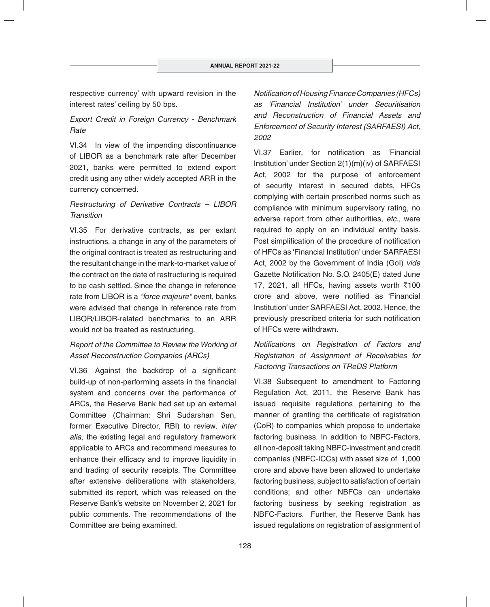respective currency' with upward revision in the interest rates' ceiling by 50 bps.

## *Export Credit in Foreign Currency - Benchmark Rate*

VI.34 In view of the impending discontinuance of LIBOR as a benchmark rate after December 2021, banks were permitted to extend export credit using any other widely accepted ARR in the currency concerned.

# *Restructuring of Derivative Contracts – LIBOR Transition*

VI.35 For derivative contracts, as per extant instructions, a change in any of the parameters of the original contract is treated as restructuring and the resultant change in the mark-to-market value of the contract on the date of restructuring is required to be cash settled. Since the change in reference rate from LIBOR is a *"force majeure"* event, banks were advised that change in reference rate from LIBOR/LIBOR-related benchmarks to an ARR would not be treated as restructuring.

# *Report of the Committee to Review the Working of Asset Reconstruction Companies (ARCs)*

VI.36 Against the backdrop of a significant build-up of non-performing assets in the financial system and concerns over the performance of ARCs, the Reserve Bank had set up an external Committee (Chairman: Shri Sudarshan Sen, former Executive Director, RBI) to review, *inter alia*, the existing legal and regulatory framework applicable to ARCs and recommend measures to enhance their efficacy and to improve liquidity in and trading of security receipts. The Committee after extensive deliberations with stakeholders, submitted its report, which was released on the Reserve Bank's website on November 2, 2021 for public comments. The recommendations of the Committee are being examined.

*Notifi cation of Housing Finance Companies (HFCs) as 'Financial Institution' under Securitisation and Reconstruction of Financial Assets and Enforcement of Security Interest (SARFAESI) Act, 2002*

VL37 Farlier, for notification as 'Financial Institution' under Section 2(1)(m)(iv) of SARFAESI Act, 2002 for the purpose of enforcement of security interest in secured debts, HFCs complying with certain prescribed norms such as compliance with minimum supervisory rating, no adverse report from other authorities, *etc.,* were required to apply on an individual entity basis. Post simplification of the procedure of notification of HFCs as 'Financial Institution' under SARFAESI Act, 2002 by the Government of India (GoI) *vide* Gazette Notification No. S.O. 2405(E) dated June 17, 2021, all HFCs, having assets worth  $\bar{\tau}$ 100 crore and above, were notified as 'Financial Institution' under SARFAESI Act, 2002. Hence, the previously prescribed criteria for such notification of HFCs were withdrawn.

# *Notifi cations on Registration of Factors and Registration of Assignment of Receivables for Factoring Transactions on TReDS Platform*

VI.38 Subsequent to amendment to Factoring Regulation Act, 2011, the Reserve Bank has issued requisite regulations pertaining to the manner of granting the certificate of registration (CoR) to companies which propose to undertake factoring business. In addition to NBFC-Factors, all non-deposit taking NBFC-investment and credit companies (NBFC-ICCs) with asset size of 1,000 crore and above have been allowed to undertake factoring business, subject to satisfaction of certain conditions; and other NBFCs can undertake factoring business by seeking registration as NBFC-Factors. Further, the Reserve Bank has issued regulations on registration of assignment of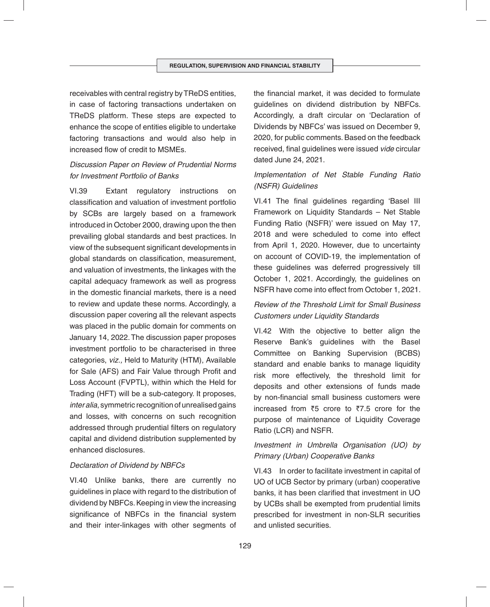receivables with central registry by TReDS entities, in case of factoring transactions undertaken on TReDS platform. These steps are expected to enhance the scope of entities eligible to undertake factoring transactions and would also help in increased flow of credit to MSMEs.

# *Discussion Paper on Review of Prudential Norms for Investment Portfolio of Banks*

VI.39 Extant regulatory instructions on classification and valuation of investment portfolio by SCBs are largely based on a framework introduced in October 2000, drawing upon the then prevailing global standards and best practices. In view of the subsequent significant developments in global standards on classification, measurement, and valuation of investments, the linkages with the capital adequacy framework as well as progress in the domestic financial markets, there is a need to review and update these norms. Accordingly, a discussion paper covering all the relevant aspects was placed in the public domain for comments on January 14, 2022. The discussion paper proposes investment portfolio to be characterised in three categories, *viz.,* Held to Maturity (HTM), Available for Sale (AFS) and Fair Value through Profit and Loss Account (FVPTL), within which the Held for Trading (HFT) will be a sub-category. It proposes, *inter alia*, symmetric recognition of unrealised gains and losses, with concerns on such recognition addressed through prudential filters on regulatory capital and dividend distribution supplemented by enhanced disclosures.

#### *Declaration of Dividend by NBFCs*

VI.40 Unlike banks, there are currently no guidelines in place with regard to the distribution of dividend by NBFCs. Keeping in view the increasing significance of NBFCs in the financial system and their inter-linkages with other segments of the financial market, it was decided to formulate guidelines on dividend distribution by NBFCs. Accordingly, a draft circular on 'Declaration of Dividends by NBFCs' was issued on December 9, 2020, for public comments. Based on the feedback received, final quidelines were issued *vide* circular dated June 24, 2021.

# *Implementation of Net Stable Funding Ratio (NSFR) Guidelines*

VI.41 The final quidelines regarding 'Basel III Framework on Liquidity Standards – Net Stable Funding Ratio (NSFR)' were issued on May 17, 2018 and were scheduled to come into effect from April 1, 2020. However, due to uncertainty on account of COVID-19, the implementation of these guidelines was deferred progressively till October 1, 2021. Accordingly, the guidelines on NSFR have come into effect from October 1, 2021.

# *Review of the Threshold Limit for Small Business Customers under Liquidity Standards*

VI.42 With the objective to better align the Reserve Bank's guidelines with the Basel Committee on Banking Supervision (BCBS) standard and enable banks to manage liquidity risk more effectively, the threshold limit for deposits and other extensions of funds made by non-financial small business customers were increased from  $\overline{5}$  crore to  $\overline{5}$ 7.5 crore for the purpose of maintenance of Liquidity Coverage Ratio (LCR) and NSFR.

# *Investment in Umbrella Organisation (UO) by Primary (Urban) Cooperative Banks*

VI.43 In order to facilitate investment in capital of UO of UCB Sector by primary (urban) cooperative banks, it has been clarified that investment in UO by UCBs shall be exempted from prudential limits prescribed for investment in non-SLR securities and unlisted securities.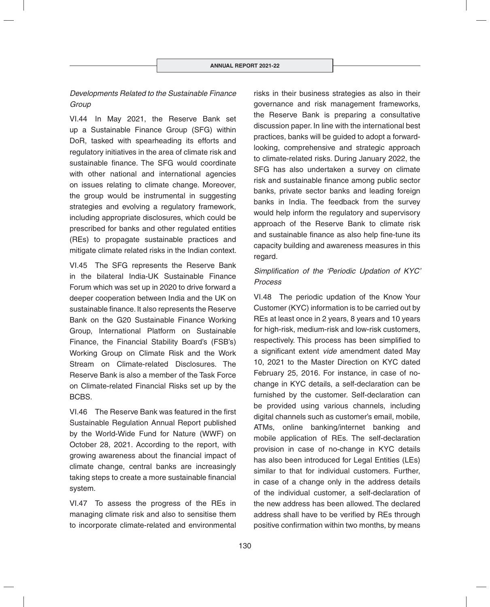# *Developments Related to the Sustainable Finance Group*

VI.44 In May 2021, the Reserve Bank set up a Sustainable Finance Group (SFG) within DoR, tasked with spearheading its efforts and regulatory initiatives in the area of climate risk and sustainable finance. The SFG would coordinate with other national and international agencies on issues relating to climate change. Moreover, the group would be instrumental in suggesting strategies and evolving a regulatory framework, including appropriate disclosures, which could be prescribed for banks and other regulated entities (REs) to propagate sustainable practices and mitigate climate related risks in the Indian context.

VI.45 The SFG represents the Reserve Bank in the bilateral India-UK Sustainable Finance Forum which was set up in 2020 to drive forward a deeper cooperation between India and the UK on sustainable finance. It also represents the Reserve Bank on the G20 Sustainable Finance Working Group, International Platform on Sustainable Finance, the Financial Stability Board's (FSB's) Working Group on Climate Risk and the Work Stream on Climate-related Disclosures. The Reserve Bank is also a member of the Task Force on Climate-related Financial Risks set up by the BCBS.

VI.46 The Reserve Bank was featured in the first Sustainable Regulation Annual Report published by the World-Wide Fund for Nature (WWF) on October 28, 2021. According to the report, with growing awareness about the financial impact of climate change, central banks are increasingly taking steps to create a more sustainable financial system.

VI.47 To assess the progress of the REs in managing climate risk and also to sensitise them to incorporate climate-related and environmental risks in their business strategies as also in their governance and risk management frameworks, the Reserve Bank is preparing a consultative discussion paper. In line with the international best practices, banks will be guided to adopt a forwardlooking, comprehensive and strategic approach to climate-related risks. During January 2022, the SFG has also undertaken a survey on climate risk and sustainable finance among public sector banks, private sector banks and leading foreign banks in India. The feedback from the survey would help inform the regulatory and supervisory approach of the Reserve Bank to climate risk and sustainable finance as also help fine-tune its capacity building and awareness measures in this regard.

## Simplification of the 'Periodic Updation of KYC' *Process*

VI.48 The periodic updation of the Know Your Customer (KYC) information is to be carried out by REs at least once in 2 years, 8 years and 10 years for high-risk, medium-risk and low-risk customers, respectively. This process has been simplified to a significant extent *vide* amendment dated May 10, 2021 to the Master Direction on KYC dated February 25, 2016. For instance, in case of nochange in KYC details, a self-declaration can be furnished by the customer. Self-declaration can be provided using various channels, including digital channels such as customer's email, mobile, ATMs, online banking/internet banking and mobile application of REs. The self-declaration provision in case of no-change in KYC details has also been introduced for Legal Entities (LEs) similar to that for individual customers. Further, in case of a change only in the address details of the individual customer, a self-declaration of the new address has been allowed. The declared address shall have to be verified by REs through positive confirmation within two months, by means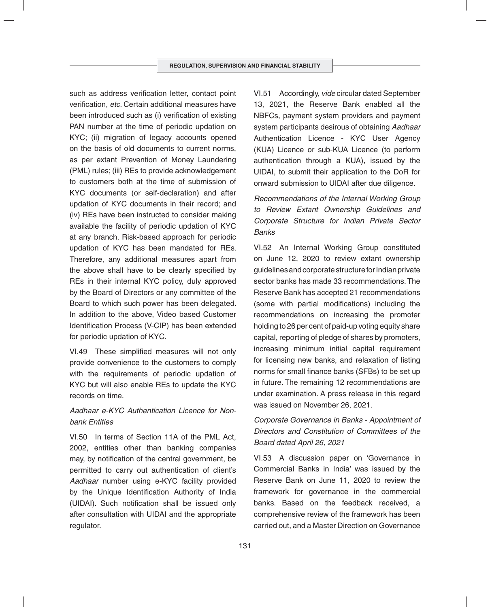such as address verification letter, contact point verification, *etc*. Certain additional measures have been introduced such as (i) verification of existing PAN number at the time of periodic updation on KYC; (ii) migration of legacy accounts opened on the basis of old documents to current norms, as per extant Prevention of Money Laundering (PML) rules; (iii) REs to provide acknowledgement to customers both at the time of submission of KYC documents (or self-declaration) and after updation of KYC documents in their record; and (iv) REs have been instructed to consider making available the facility of periodic updation of KYC at any branch. Risk-based approach for periodic updation of KYC has been mandated for REs. Therefore, any additional measures apart from the above shall have to be clearly specified by REs in their internal KYC policy, duly approved by the Board of Directors or any committee of the Board to which such power has been delegated. In addition to the above, Video based Customer Identification Process (V-CIP) has been extended for periodic updation of KYC.

VI.49 These simplified measures will not only provide convenience to the customers to comply with the requirements of periodic updation of KYC but will also enable REs to update the KYC records on time.

# *Aadhaar e-KYC Authentication Licence for Nonbank Entities*

VI.50 In terms of Section 11A of the PML Act, 2002, entities other than banking companies may, by notification of the central government, be permitted to carry out authentication of client's *Aadhaar* number using e-KYC facility provided by the Unique Identification Authority of India (UIDAI). Such notification shall be issued only after consultation with UIDAI and the appropriate regulator.

VI.51 Accordingly, *vide* circular dated September 13, 2021, the Reserve Bank enabled all the NBFCs, payment system providers and payment system participants desirous of obtaining *Aadhaar* Authentication Licence - KYC User Agency (KUA) Licence or sub-KUA Licence (to perform authentication through a KUA), issued by the UIDAI, to submit their application to the DoR for onward submission to UIDAI after due diligence.

*Recommendations of the Internal Working Group to Review Extant Ownership Guidelines and Corporate Structure for Indian Private Sector Banks*

VI.52 An Internal Working Group constituted on June 12, 2020 to review extant ownership guidelines and corporate structure for Indian private sector banks has made 33 recommendations. The Reserve Bank has accepted 21 recommendations (some with partial modifications) including the recommendations on increasing the promoter holding to 26 per cent of paid-up voting equity share capital, reporting of pledge of shares by promoters, increasing minimum initial capital requirement for licensing new banks, and relaxation of listing norms for small finance banks (SFBs) to be set up in future. The remaining 12 recommendations are under examination. A press release in this regard was issued on November 26, 2021.

# *Corporate Governance in Banks - Appointment of Directors and Constitution of Committees of the Board dated April 26, 2021*

VI.53 A discussion paper on 'Governance in Commercial Banks in India' was issued by the Reserve Bank on June 11, 2020 to review the framework for governance in the commercial banks. Based on the feedback received, a comprehensive review of the framework has been carried out, and a Master Direction on Governance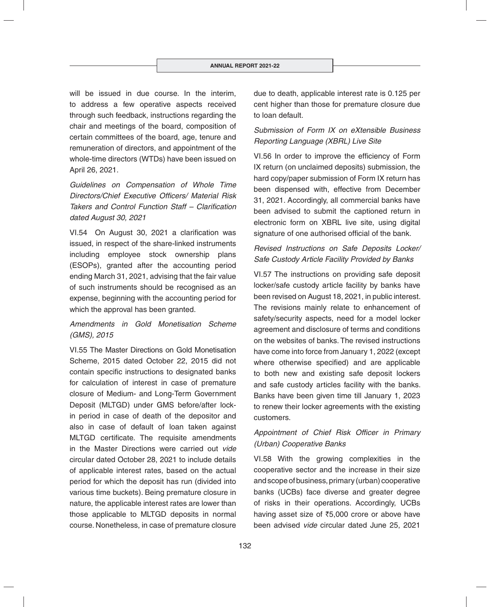will be issued in due course. In the interim, to address a few operative aspects received through such feedback, instructions regarding the chair and meetings of the board, composition of certain committees of the board, age, tenure and remuneration of directors, and appointment of the whole-time directors (WTDs) have been issued on April 26, 2021.

*Guidelines on Compensation of Whole Time*  **Directors/Chief Executive Officers/ Material Risk** *Takers and Control Function Staff – Clarification dated August 30, 2021*

VI.54 On August 30, 2021 a clarification was issued, in respect of the share-linked instruments including employee stock ownership plans (ESOPs), granted after the accounting period ending March 31, 2021, advising that the fair value of such instruments should be recognised as an expense, beginning with the accounting period for which the approval has been granted.

# *Amendments in Gold Monetisation Scheme (GMS), 2015*

VI.55 The Master Directions on Gold Monetisation Scheme, 2015 dated October 22, 2015 did not contain specific instructions to designated banks for calculation of interest in case of premature closure of Medium- and Long-Term Government Deposit (MLTGD) under GMS before/after lockin period in case of death of the depositor and also in case of default of loan taken against MLTGD certificate. The requisite amendments in the Master Directions were carried out *vide* circular dated October 28, 2021 to include details of applicable interest rates, based on the actual period for which the deposit has run (divided into various time buckets). Being premature closure in nature, the applicable interest rates are lower than those applicable to MLTGD deposits in normal course. Nonetheless, in case of premature closure

due to death, applicable interest rate is 0.125 per cent higher than those for premature closure due to loan default.

# *Submission of Form IX on eXtensible Business Reporting Language (XBRL) Live Site*

VI.56 In order to improve the efficiency of Form IX return (on unclaimed deposits) submission, the hard copy/paper submission of Form IX return has been dispensed with, effective from December 31, 2021. Accordingly, all commercial banks have been advised to submit the captioned return in electronic form on XBRL live site, using digital signature of one authorised official of the bank.

# *Revised Instructions on Safe Deposits Locker/ Safe Custody Article Facility Provided by Banks*

VI.57 The instructions on providing safe deposit locker/safe custody article facility by banks have been revised on August 18, 2021, in public interest. The revisions mainly relate to enhancement of safety/security aspects, need for a model locker agreement and disclosure of terms and conditions on the websites of banks. The revised instructions have come into force from January 1, 2022 (except where otherwise specified) and are applicable to both new and existing safe deposit lockers and safe custody articles facility with the banks. Banks have been given time till January 1, 2023 to renew their locker agreements with the existing customers.

# Appointment of Chief Risk Officer in Primary *(Urban) Cooperative Banks*

VI.58 With the growing complexities in the cooperative sector and the increase in their size and scope of business, primary (urban) cooperative banks (UCBs) face diverse and greater degree of risks in their operations. Accordingly, UCBs having asset size of  $\overline{5,000}$  crore or above have been advised *vide* circular dated June 25, 2021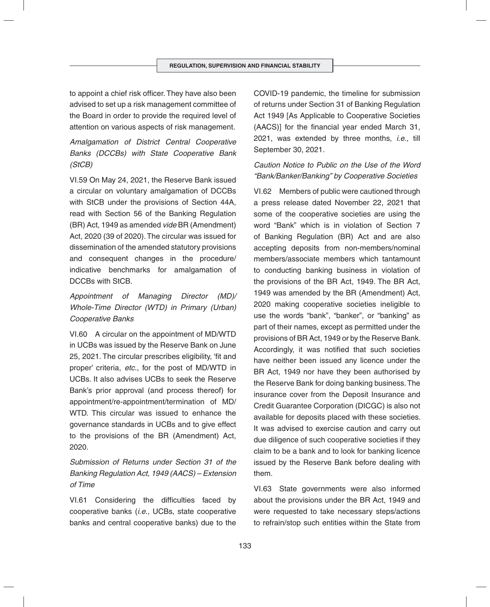to appoint a chief risk officer. They have also been advised to set up a risk management committee of the Board in order to provide the required level of attention on various aspects of risk management.

*Amalgamation of District Central Cooperative Banks (DCCBs) with State Cooperative Bank (StCB)*

VI.59 On May 24, 2021, the Reserve Bank issued a circular on voluntary amalgamation of DCCBs with StCB under the provisions of Section 44A, read with Section 56 of the Banking Regulation (BR) Act, 1949 as amended *vide* BR (Amendment) Act, 2020 (39 of 2020). The circular was issued for dissemination of the amended statutory provisions and consequent changes in the procedure/ indicative benchmarks for amalgamation of DCCBs with StCB.

*Appointment of Managing Director (MD)/ Whole-Time Director (WTD) in Primary (Urban) Cooperative Banks*

VI.60 A circular on the appointment of MD/WTD in UCBs was issued by the Reserve Bank on June 25, 2021. The circular prescribes eligibility, 'fit and proper' criteria, *etc.,* for the post of MD/WTD in UCBs. It also advises UCBs to seek the Reserve Bank's prior approval (and process thereof) for appointment/re-appointment/termination of MD/ WTD. This circular was issued to enhance the governance standards in UCBs and to give effect to the provisions of the BR (Amendment) Act, 2020.

*Submission of Returns under Section 31 of the Banking Regulation Act, 1949 (AACS) – Extension of Time*

VI.61 Considering the difficulties faced by cooperative banks (*i.e.,* UCBs, state cooperative banks and central cooperative banks) due to the

COVID-19 pandemic, the timeline for submission of returns under Section 31 of Banking Regulation Act 1949 [As Applicable to Cooperative Societies (AACS)] for the financial year ended March 31, 2021, was extended by three months, *i.e.,* till September 30, 2021.

# *Caution Notice to Public on the Use of the Word "Bank/Banker/Banking" by Cooperative Societies*

VI.62 Members of public were cautioned through a press release dated November 22, 2021 that some of the cooperative societies are using the word "Bank" which is in violation of Section 7 of Banking Regulation (BR) Act and are also accepting deposits from non-members/nominal members/associate members which tantamount to conducting banking business in violation of the provisions of the BR Act, 1949. The BR Act, 1949 was amended by the BR (Amendment) Act, 2020 making cooperative societies ineligible to use the words "bank", "banker", or "banking" as part of their names, except as permitted under the provisions of BR Act, 1949 or by the Reserve Bank. Accordingly, it was notified that such societies have neither been issued any licence under the BR Act, 1949 nor have they been authorised by the Reserve Bank for doing banking business. The insurance cover from the Deposit Insurance and Credit Guarantee Corporation (DICGC) is also not available for deposits placed with these societies. It was advised to exercise caution and carry out due diligence of such cooperative societies if they claim to be a bank and to look for banking licence issued by the Reserve Bank before dealing with them.

VI.63 State governments were also informed about the provisions under the BR Act, 1949 and were requested to take necessary steps/actions to refrain/stop such entities within the State from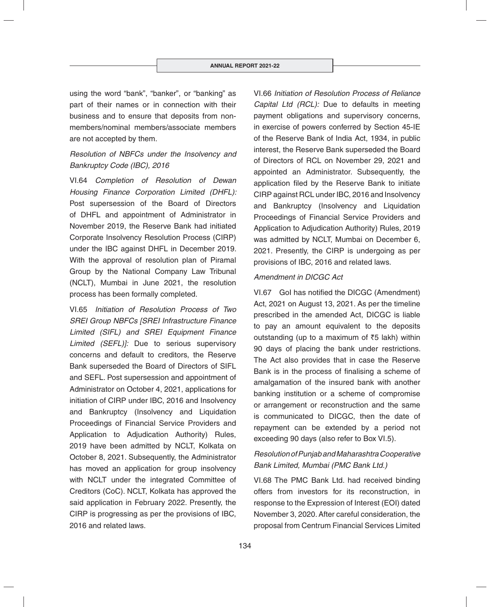using the word "bank", "banker", or "banking" as part of their names or in connection with their business and to ensure that deposits from nonmembers/nominal members/associate members are not accepted by them.

# *Resolution of NBFCs under the Insolvency and Bankruptcy Code (IBC), 2016*

VI.64 *Completion of Resolution of Dewan Housing Finance Corporation Limited (DHFL):*  Post supersession of the Board of Directors of DHFL and appointment of Administrator in November 2019, the Reserve Bank had initiated Corporate Insolvency Resolution Process (CIRP) under the IBC against DHFL in December 2019. With the approval of resolution plan of Piramal Group by the National Company Law Tribunal (NCLT), Mumbai in June 2021, the resolution process has been formally completed.

VI.65 *Initiation of Resolution Process of Two SREI Group NBFCs [SREI Infrastructure Finance Limited (SIFL) and SREI Equipment Finance Limited (SEFL)]:* Due to serious supervisory concerns and default to creditors, the Reserve Bank superseded the Board of Directors of SIFL and SEFL. Post supersession and appointment of Administrator on October 4, 2021, applications for initiation of CIRP under IBC, 2016 and Insolvency and Bankruptcy (Insolvency and Liquidation Proceedings of Financial Service Providers and Application to Adjudication Authority) Rules, 2019 have been admitted by NCLT, Kolkata on October 8, 2021. Subsequently, the Administrator has moved an application for group insolvency with NCLT under the integrated Committee of Creditors (CoC). NCLT, Kolkata has approved the said application in February 2022. Presently, the CIRP is progressing as per the provisions of IBC, 2016 and related laws.

VI.66 *Initiation of Resolution Process of Reliance Capital Ltd (RCL):* Due to defaults in meeting payment obligations and supervisory concerns, in exercise of powers conferred by Section 45-IE of the Reserve Bank of India Act, 1934, in public interest, the Reserve Bank superseded the Board of Directors of RCL on November 29, 2021 and appointed an Administrator. Subsequently, the application filed by the Reserve Bank to initiate CIRP against RCL under IBC, 2016 and Insolvency and Bankruptcy (Insolvency and Liquidation Proceedings of Financial Service Providers and Application to Adjudication Authority) Rules, 2019 was admitted by NCLT, Mumbai on December 6, 2021. Presently, the CIRP is undergoing as per provisions of IBC, 2016 and related laws.

#### *Amendment in DICGC Act*

VI.67 Gol has notified the DICGC (Amendment) Act, 2021 on August 13, 2021. As per the timeline prescribed in the amended Act, DICGC is liable to pay an amount equivalent to the deposits outstanding (up to a maximum of  $\bar{z}5$  lakh) within 90 days of placing the bank under restrictions. The Act also provides that in case the Reserve Bank is in the process of finalising a scheme of amalgamation of the insured bank with another banking institution or a scheme of compromise or arrangement or reconstruction and the same is communicated to DICGC, then the date of repayment can be extended by a period not exceeding 90 days (also refer to Box VI.5).

# *Resolution of Punjab and Maharashtra Cooperative Bank Limited, Mumbai (PMC Bank Ltd.)*

VI.68 The PMC Bank Ltd. had received binding offers from investors for its reconstruction, in response to the Expression of Interest (EOI) dated November 3, 2020. After careful consideration, the proposal from Centrum Financial Services Limited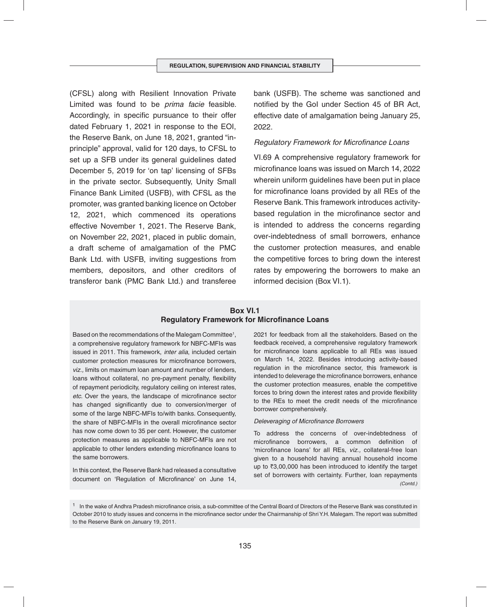(CFSL) along with Resilient Innovation Private Limited was found to be *prima facie* feasible. Accordingly, in specific pursuance to their offer dated February 1, 2021 in response to the EOI, the Reserve Bank, on June 18, 2021, granted "inprinciple" approval, valid for 120 days, to CFSL to set up a SFB under its general guidelines dated December 5, 2019 for 'on tap' licensing of SFBs in the private sector. Subsequently, Unity Small Finance Bank Limited (USFB), with CFSL as the promoter, was granted banking licence on October 12, 2021, which commenced its operations effective November 1, 2021. The Reserve Bank, on November 22, 2021, placed in public domain, a draft scheme of amalgamation of the PMC Bank Ltd. with USFB, inviting suggestions from members, depositors, and other creditors of transferor bank (PMC Bank Ltd.) and transferee

bank (USFB). The scheme was sanctioned and notified by the GoI under Section 45 of BR Act. effective date of amalgamation being January 25, 2022.

#### **Regulatory Framework for Microfinance Loans**

VI.69 A comprehensive regulatory framework for microfinance loans was issued on March 14, 2022 wherein uniform guidelines have been put in place for microfinance loans provided by all REs of the Reserve Bank. This framework introduces activitybased regulation in the microfinance sector and is intended to address the concerns regarding over-indebtedness of small borrowers, enhance the customer protection measures, and enable the competitive forces to bring down the interest rates by empowering the borrowers to make an informed decision (Box VI.1).

## **Box VI.1 Regulatory Framework for Microfinance Loans**

Based on the recommendations of the Malegam Committee1 , a comprehensive regulatory framework for NBFC-MFIs was issued in 2011. This framework, *inter alia*, included certain customer protection measures for microfinance borrowers, *viz.,* limits on maximum loan amount and number of lenders, loans without collateral, no pre-payment penalty, flexibility of repayment periodicity, regulatory ceiling on interest rates, etc. Over the years, the landscape of microfinance sector has changed significantly due to conversion/merger of some of the large NBFC-MFIs to/with banks. Consequently, the share of NBFC-MFIs in the overall microfinance sector has now come down to 35 per cent. However, the customer protection measures as applicable to NBFC-MFIs are not applicable to other lenders extending microfinance loans to the same borrowers.

In this context, the Reserve Bank had released a consultative document on 'Regulation of Microfinance' on June 14,

2021 for feedback from all the stakeholders. Based on the feedback received, a comprehensive regulatory framework for microfinance loans applicable to all REs was issued on March 14, 2022. Besides introducing activity-based regulation in the microfinance sector, this framework is intended to deleverage the microfinance borrowers, enhance the customer protection measures, enable the competitive forces to bring down the interest rates and provide flexibility to the REs to meet the credit needs of the microfinance borrower comprehensively.

#### **Deleveraging of Microfinance Borrowers**

To address the concerns of over-indebtedness of microfinance borrowers, a common definition of 'microfinance loans' for all REs, *viz.*, collateral-free loan given to a household having annual household income up to  $\bar{z}3,00,000$  has been introduced to identify the target set of borrowers with certainty. Further, loan repayments *(Contd.)*

 $1$  In the wake of Andhra Pradesh microfinance crisis, a sub-committee of the Central Board of Directors of the Reserve Bank was constituted in October 2010 to study issues and concerns in the microfinance sector under the Chairmanship of Shri Y.H. Malegam. The report was submitted to the Reserve Bank on January 19, 2011.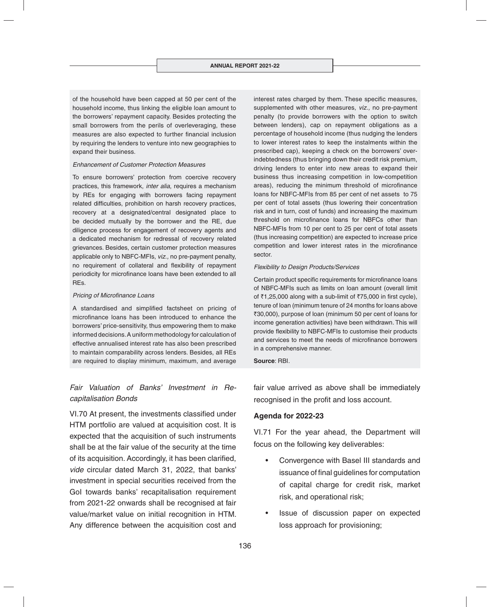of the household have been capped at 50 per cent of the household income, thus linking the eligible loan amount to the borrowers' repayment capacity. Besides protecting the small borrowers from the perils of overleveraging, these measures are also expected to further financial inclusion by requiring the lenders to venture into new geographies to expand their business.

#### *Enhancement of Customer Protection Measures*

To ensure borrowers' protection from coercive recovery practices, this framework, *inter alia*, requires a mechanism by REs for engaging with borrowers facing repayment related difficulties, prohibition on harsh recovery practices, recovery at a designated/central designated place to be decided mutually by the borrower and the RE, due diligence process for engagement of recovery agents and a dedicated mechanism for redressal of recovery related grievances. Besides, certain customer protection measures applicable only to NBFC-MFIs, *viz.,* no pre-payment penalty, no requirement of collateral and flexibility of repayment periodicity for microfinance loans have been extended to all REs.

#### **Pricing of Microfinance Loans**

A standardised and simplified factsheet on pricing of microfinance loans has been introduced to enhance the borrowers' price-sensitivity, thus empowering them to make informed decisions. A uniform methodology for calculation of effective annualised interest rate has also been prescribed to maintain comparability across lenders. Besides, all REs are required to display minimum, maximum, and average

# *Fair Valuation of Banks' Investment in Recapitalisation Bonds*

VI.70 At present, the investments classified under HTM portfolio are valued at acquisition cost. It is expected that the acquisition of such instruments shall be at the fair value of the security at the time of its acquisition. Accordingly, it has been clarified, *vide* circular dated March 31, 2022, that banks' investment in special securities received from the GoI towards banks' recapitalisation requirement from 2021-22 onwards shall be recognised at fair value/market value on initial recognition in HTM. Any difference between the acquisition cost and

interest rates charged by them. These specific measures, supplemented with other measures, *viz.,* no pre-payment penalty (to provide borrowers with the option to switch between lenders), cap on repayment obligations as a percentage of household income (thus nudging the lenders to lower interest rates to keep the instalments within the prescribed cap), keeping a check on the borrowers' overindebtedness (thus bringing down their credit risk premium, driving lenders to enter into new areas to expand their business thus increasing competition in low-competition areas), reducing the minimum threshold of microfinance loans for NBFC-MFIs from 85 per cent of net assets to 75 per cent of total assets (thus lowering their concentration risk and in turn, cost of funds) and increasing the maximum threshold on microfinance loans for NBFCs other than NBFC-MFIs from 10 per cent to 25 per cent of total assets (thus increasing competition) are expected to increase price competition and lower interest rates in the microfinance sector.

#### *Flexibility to Design Products/Services*

Certain product specific requirements for microfinance loans of NBFC-MFIs such as limits on loan amount (overall limit of  $\overline{3}1,25,000$  along with a sub-limit of  $\overline{3}75,000$  in first cycle), tenure of loan (minimum tenure of 24 months for loans above `30,000), purpose of loan (minimum 50 per cent of loans for income generation activities) have been withdrawn. This will provide flexibility to NBFC-MFIs to customise their products and services to meet the needs of microfinance borrowers in a comprehensive manner.

#### **Source**: RBI.

fair value arrived as above shall be immediately recognised in the profit and loss account.

#### **Agenda for 2022-23**

VI.71 For the year ahead, the Department will focus on the following key deliverables:

- Convergence with Basel III standards and issuance of final guidelines for computation of capital charge for credit risk, market risk, and operational risk;
- Issue of discussion paper on expected loss approach for provisioning;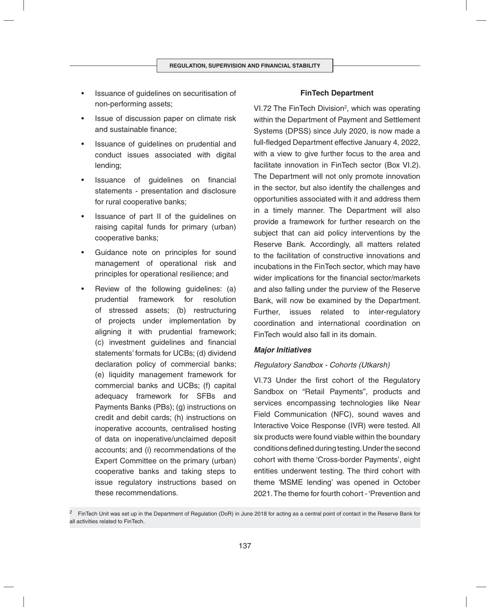- Issuance of guidelines on securitisation of non-performing assets;
- Issue of discussion paper on climate risk and sustainable finance:
- Issuance of guidelines on prudential and conduct issues associated with digital lending;
- Issuance of guidelines on financial statements - presentation and disclosure for rural cooperative banks;
- Issuance of part II of the guidelines on raising capital funds for primary (urban) cooperative banks;
- Guidance note on principles for sound management of operational risk and principles for operational resilience; and
- Review of the following guidelines: (a) prudential framework for resolution of stressed assets; (b) restructuring of projects under implementation by aligning it with prudential framework; (c) investment guidelines and financial statements' formats for UCBs; (d) dividend declaration policy of commercial banks; (e) liquidity management framework for commercial banks and UCBs; (f) capital adequacy framework for SFBs and Payments Banks (PBs); (g) instructions on credit and debit cards; (h) instructions on inoperative accounts, centralised hosting of data on inoperative/unclaimed deposit accounts; and (i) recommendations of the Expert Committee on the primary (urban) cooperative banks and taking steps to issue regulatory instructions based on these recommendations.

#### **FinTech Department**

VI.72 The FinTech Division<sup>2</sup>, which was operating within the Department of Payment and Settlement Systems (DPSS) since July 2020, is now made a full-fledged Department effective January 4, 2022, with a view to give further focus to the area and facilitate innovation in FinTech sector (Box VI.2). The Department will not only promote innovation in the sector, but also identify the challenges and opportunities associated with it and address them in a timely manner. The Department will also provide a framework for further research on the subject that can aid policy interventions by the Reserve Bank. Accordingly, all matters related to the facilitation of constructive innovations and incubations in the FinTech sector, which may have wider implications for the financial sector/markets and also falling under the purview of the Reserve Bank, will now be examined by the Department. Further, issues related to inter-regulatory coordination and international coordination on FinTech would also fall in its domain.

#### *Major Initiatives*

#### *Regulatory Sandbox - Cohorts (Utkarsh)*

VI.73 Under the first cohort of the Regulatory Sandbox on "Retail Payments", products and services encompassing technologies like Near Field Communication (NFC), sound waves and Interactive Voice Response (IVR) were tested. All six products were found viable within the boundary conditions defined during testing. Under the second cohort with theme 'Cross-border Payments', eight entities underwent testing. The third cohort with theme 'MSME lending' was opened in October 2021. The theme for fourth cohort - 'Prevention and

<sup>&</sup>lt;sup>2</sup> FinTech Unit was set up in the Department of Regulation (DoR) in June 2018 for acting as a central point of contact in the Reserve Bank for all activities related to FinTech.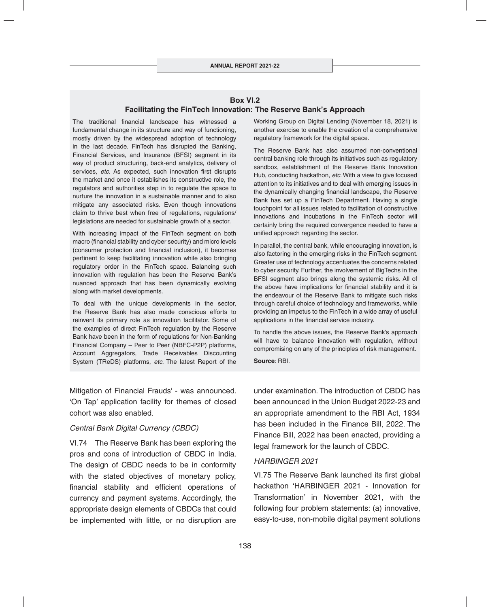#### **Box VI.2 Facilitating the FinTech Innovation: The Reserve Bank's Approach**

The traditional financial landscape has witnessed a fundamental change in its structure and way of functioning, mostly driven by the widespread adoption of technology in the last decade. FinTech has disrupted the Banking, Financial Services, and Insurance (BFSI) segment in its way of product structuring, back-end analytics, delivery of services, *etc*. As expected, such innovation first disrupts the market and once it establishes its constructive role, the regulators and authorities step in to regulate the space to nurture the innovation in a sustainable manner and to also mitigate any associated risks. Even though innovations claim to thrive best when free of regulations, regulations/ legislations are needed for sustainable growth of a sector.

With increasing impact of the FinTech segment on both macro (financial stability and cyber security) and micro levels (consumer protection and financial inclusion), it becomes pertinent to keep facilitating innovation while also bringing regulatory order in the FinTech space. Balancing such innovation with regulation has been the Reserve Bank's nuanced approach that has been dynamically evolving along with market developments.

To deal with the unique developments in the sector, the Reserve Bank has also made conscious efforts to reinvent its primary role as innovation facilitator. Some of the examples of direct FinTech regulation by the Reserve Bank have been in the form of regulations for Non-Banking Financial Company – Peer to Peer (NBFC-P2P) platforms, Account Aggregators, Trade Receivables Discounting System (TReDS) platforms, *etc*. The latest Report of the

Mitigation of Financial Frauds' - was announced. 'On Tap' application facility for themes of closed cohort was also enabled.

#### *Central Bank Digital Currency (CBDC)*

VI.74 The Reserve Bank has been exploring the pros and cons of introduction of CBDC in India. The design of CBDC needs to be in conformity with the stated objectives of monetary policy, financial stability and efficient operations of currency and payment systems. Accordingly, the appropriate design elements of CBDCs that could be implemented with little, or no disruption are Working Group on Digital Lending (November 18, 2021) is another exercise to enable the creation of a comprehensive regulatory framework for the digital space.

The Reserve Bank has also assumed non-conventional central banking role through its initiatives such as regulatory sandbox, establishment of the Reserve Bank Innovation Hub, conducting hackathon, *etc*. With a view to give focused attention to its initiatives and to deal with emerging issues in the dynamically changing financial landscape, the Reserve Bank has set up a FinTech Department. Having a single touchpoint for all issues related to facilitation of constructive innovations and incubations in the FinTech sector will certainly bring the required convergence needed to have a unified approach regarding the sector.

In parallel, the central bank, while encouraging innovation, is also factoring in the emerging risks in the FinTech segment. Greater use of technology accentuates the concerns related to cyber security. Further, the involvement of BigTechs in the BFSI segment also brings along the systemic risks. All of the above have implications for financial stability and it is the endeavour of the Reserve Bank to mitigate such risks through careful choice of technology and frameworks, while providing an impetus to the FinTech in a wide array of useful applications in the financial service industry.

To handle the above issues, the Reserve Bank's approach will have to balance innovation with regulation, without compromising on any of the principles of risk management.

**Source**: RBI.

under examination. The introduction of CBDC has been announced in the Union Budget 2022-23 and an appropriate amendment to the RBI Act, 1934 has been included in the Finance Bill, 2022. The Finance Bill, 2022 has been enacted, providing a legal framework for the launch of CBDC.

#### *HARBINGER 2021*

VI.75 The Reserve Bank launched its first global hackathon 'HARBINGER 2021 - Innovation for Transformation' in November 2021, with the following four problem statements: (a) innovative, easy-to-use, non-mobile digital payment solutions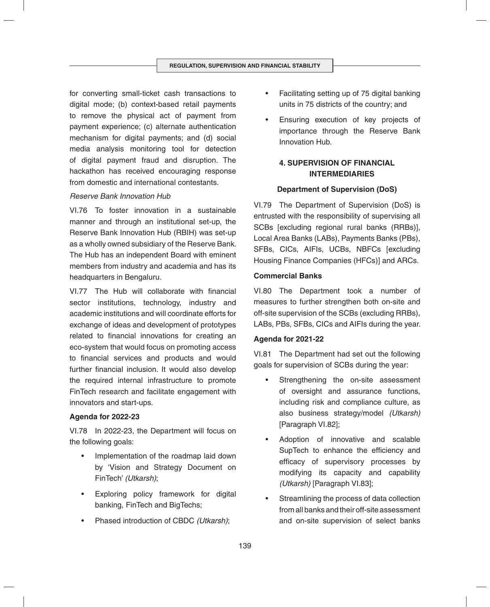for converting small-ticket cash transactions to digital mode; (b) context-based retail payments to remove the physical act of payment from payment experience; (c) alternate authentication mechanism for digital payments; and (d) social media analysis monitoring tool for detection of digital payment fraud and disruption. The hackathon has received encouraging response from domestic and international contestants.

## *Reserve Bank Innovation Hub*

VI.76 To foster innovation in a sustainable manner and through an institutional set-up, the Reserve Bank Innovation Hub (RBIH) was set-up as a wholly owned subsidiary of the Reserve Bank. The Hub has an independent Board with eminent members from industry and academia and has its headquarters in Bengaluru.

VI.77 The Hub will collaborate with financial sector institutions, technology, industry and academic institutions and will coordinate efforts for exchange of ideas and development of prototypes related to financial innovations for creating an eco-system that would focus on promoting access to financial services and products and would further financial inclusion. It would also develop the required internal infrastructure to promote FinTech research and facilitate engagement with innovators and start-ups.

## **Agenda for 2022-23**

VI.78 In 2022-23, the Department will focus on the following goals:

- Implementation of the roadmap laid down by 'Vision and Strategy Document on FinTech' *(Utkarsh)*;
- Exploring policy framework for digital banking, FinTech and BigTechs;
- Phased introduction of CBDC *(Utkarsh)*;
- Facilitating setting up of 75 digital banking units in 75 districts of the country; and
- Ensuring execution of key projects of importance through the Reserve Bank Innovation Hub.

# **4. SUPERVISION OF FINANCIAL INTERMEDIARIES**

## **Department of Supervision (DoS)**

VI.79 The Department of Supervision (DoS) is entrusted with the responsibility of supervising all SCBs [excluding regional rural banks (RRBs)], Local Area Banks (LABs), Payments Banks (PBs), SFBs, CICs, AIFIs, UCBs, NBFCs [excluding Housing Finance Companies (HFCs)] and ARCs.

## **Commercial Banks**

VI.80 The Department took a number of measures to further strengthen both on-site and off-site supervision of the SCBs (excluding RRBs), LABs, PBs, SFBs, CICs and AIFIs during the year.

## **Agenda for 2021-22**

VI.81 The Department had set out the following goals for supervision of SCBs during the year:

- Strengthening the on-site assessment of oversight and assurance functions, including risk and compliance culture, as also business strategy/model *(Utkarsh)*  [Paragraph VI.82];
- Adoption of innovative and scalable SupTech to enhance the efficiency and efficacy of supervisory processes by modifying its capacity and capability *(Utkarsh)* [Paragraph VI.83];
- Streamlining the process of data collection from all banks and their off-site assessment and on-site supervision of select banks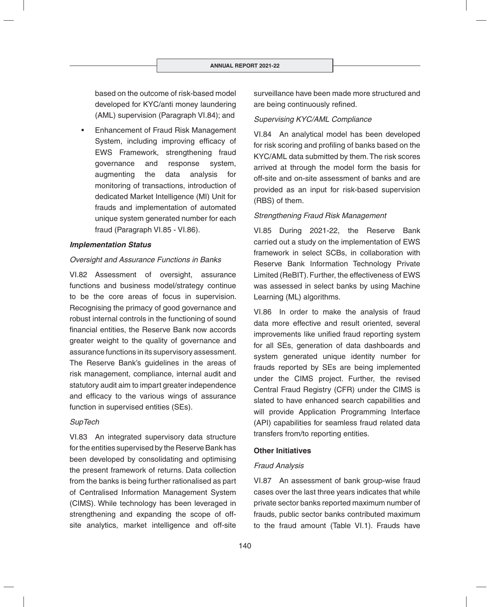based on the outcome of risk-based model developed for KYC/anti money laundering (AML) supervision (Paragraph VI.84); and

• Enhancement of Fraud Risk Management System, including improving efficacy of EWS Framework, strengthening fraud governance and response system, augmenting the data analysis for monitoring of transactions, introduction of dedicated Market Intelligence (MI) Unit for frauds and implementation of automated unique system generated number for each fraud (Paragraph VI.85 - VI.86).

#### *Implementation Status*

#### *Oversight and Assurance Functions in Banks*

VI.82 Assessment of oversight, assurance functions and business model/strategy continue to be the core areas of focus in supervision. Recognising the primacy of good governance and robust internal controls in the functioning of sound financial entities, the Reserve Bank now accords greater weight to the quality of governance and assurance functions in its supervisory assessment. The Reserve Bank's guidelines in the areas of risk management, compliance, internal audit and statutory audit aim to impart greater independence and efficacy to the various wings of assurance function in supervised entities (SEs).

#### *SupTech*

VI.83 An integrated supervisory data structure for the entities supervised by the Reserve Bank has been developed by consolidating and optimising the present framework of returns. Data collection from the banks is being further rationalised as part of Centralised Information Management System (CIMS). While technology has been leveraged in strengthening and expanding the scope of offsite analytics, market intelligence and off-site

surveillance have been made more structured and are being continuously refined.

#### *Supervising KYC/AML Compliance*

VI.84 An analytical model has been developed for risk scoring and profiling of banks based on the KYC/AML data submitted by them. The risk scores arrived at through the model form the basis for off-site and on-site assessment of banks and are provided as an input for risk-based supervision (RBS) of them.

#### *Strengthening Fraud Risk Management*

VI.85 During 2021-22, the Reserve Bank carried out a study on the implementation of EWS framework in select SCBs, in collaboration with Reserve Bank Information Technology Private Limited (ReBIT). Further, the effectiveness of EWS was assessed in select banks by using Machine Learning (ML) algorithms.

VI.86 In order to make the analysis of fraud data more effective and result oriented, several improvements like unified fraud reporting system for all SEs, generation of data dashboards and system generated unique identity number for frauds reported by SEs are being implemented under the CIMS project. Further, the revised Central Fraud Registry (CFR) under the CIMS is slated to have enhanced search capabilities and will provide Application Programming Interface (API) capabilities for seamless fraud related data transfers from/to reporting entities.

#### **Other Initiatives**

#### *Fraud Analysis*

VI.87 An assessment of bank group-wise fraud cases over the last three years indicates that while private sector banks reported maximum number of frauds, public sector banks contributed maximum to the fraud amount (Table VI.1). Frauds have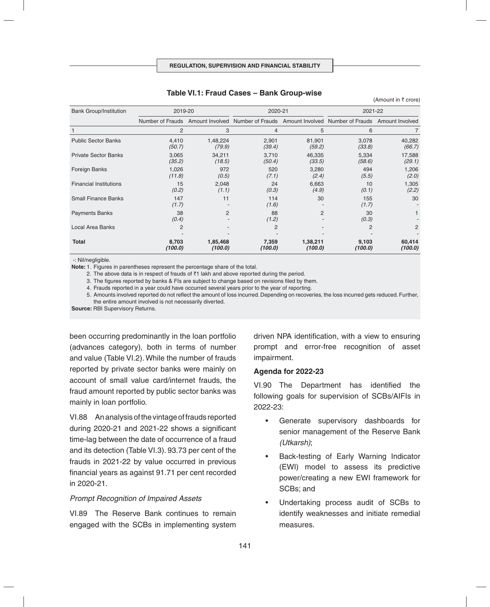| <b>Bank Group/Institution</b> | 2019-20          |                     | 2020-21          |                     | 2021-22                                                                                            |                   |
|-------------------------------|------------------|---------------------|------------------|---------------------|----------------------------------------------------------------------------------------------------|-------------------|
|                               |                  |                     |                  |                     | Number of Frauds Amount Involved Number of Frauds Amount Involved Number of Frauds Amount Involved |                   |
|                               | $\overline{2}$   | 3                   | 4                | 5                   | 6                                                                                                  |                   |
| <b>Public Sector Banks</b>    | 4,410<br>(50.7)  | 1,48,224<br>(79.9)  | 2,901<br>(39.4)  | 81,901<br>(59.2)    | 3,078<br>(33.8)                                                                                    | 40,282<br>(66.7)  |
| <b>Private Sector Banks</b>   | 3,065<br>(35.2)  | 34,211<br>(18.5)    | 3,710<br>(50.4)  | 46,335<br>(33.5)    | 5,334<br>(58.6)                                                                                    | 17,588<br>(29.1)  |
| Foreign Banks                 | 1,026<br>(11.8)  | 972<br>(0.5)        | 520<br>(7.1)     | 3,280<br>(2.4)      | 494<br>(5.5)                                                                                       | 1,206<br>(2.0)    |
| <b>Financial Institutions</b> | 15<br>(0.2)      | 2,048<br>(1.1)      | 24<br>(0.3)      | 6,663<br>(4.9)      | 10<br>(0.1)                                                                                        | 1,305<br>(2.2)    |
| <b>Small Finance Banks</b>    | 147<br>(1.7)     | 11                  | 114<br>(1.6)     | 30                  | 155<br>(1.7)                                                                                       | 30                |
| <b>Payments Banks</b>         | 38<br>(0.4)      | $\overline{2}$      | 88<br>(1.2)      | 2                   | 30<br>(0.3)                                                                                        |                   |
| Local Area Banks              | $\overline{2}$   |                     | 2                |                     | 2                                                                                                  | $\overline{2}$    |
| <b>Total</b>                  | 8,703<br>(100.0) | 1,85,468<br>(100.0) | 7,359<br>(100.0) | 1,38,211<br>(100.0) | 9,103<br>(100.0)                                                                                   | 60,414<br>(100.0) |

#### **Table VI.1: Fraud Cases – Bank Group-wise**

-: Nil/negligible.

**Note:** 1. Figures in parentheses represent the percentage share of the total.

2. The above data is in respect of frauds of  $\bar{\tau}$ 1 lakh and above reported during the period.

3. The figures reported by banks & FIs are subject to change based on revisions filed by them.

4. Frauds reported in a year could have occurred several years prior to the year of reporting.

 5. Amounts involved reported do not reflect the amount of loss incurred. Depending on recoveries, the loss incurred gets reduced. Further, the entire amount involved is not necessarily diverted.

**Source:** RBI Supervisory Returns.

been occurring predominantly in the loan portfolio (advances category), both in terms of number and value (Table VI.2). While the number of frauds reported by private sector banks were mainly on account of small value card/internet frauds, the fraud amount reported by public sector banks was mainly in loan portfolio.

VI.88 An analysis of the vintage of frauds reported during  $2020-21$  and  $2021-22$  shows a significant time-lag between the date of occurrence of a fraud and its detection (Table VI.3). 93.73 per cent of the frauds in 2021-22 by value occurred in previous financial years as against 91.71 per cent recorded in 2020-21.

#### *Prompt Recognition of Impaired Assets*

VI.89 The Reserve Bank continues to remain engaged with the SCBs in implementing system driven NPA identification, with a view to ensuring prompt and error-free recognition of asset impairment.

(Amount in  $\bar{\tau}$  crore)

#### **Agenda for 2022-23**

VI.90 The Department has identified the following goals for supervision of SCBs/AIFIs in 2022-23:

- Generate supervisory dashboards for senior management of the Reserve Bank *(Utkarsh)*;
- Back-testing of Early Warning Indicator (EWI) model to assess its predictive power/creating a new EWI framework for SCBs; and
- Undertaking process audit of SCBs to identify weaknesses and initiate remedial measures.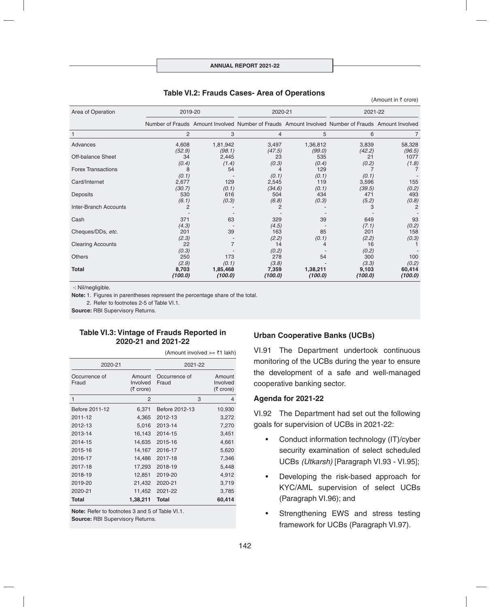| Area of Operation         | 2019-20         |                    | 2020-21         |                    | 2021-22                                                                                            |                  |
|---------------------------|-----------------|--------------------|-----------------|--------------------|----------------------------------------------------------------------------------------------------|------------------|
|                           |                 |                    |                 |                    | Number of Frauds Amount Involved Number of Frauds Amount Involved Number of Frauds Amount Involved |                  |
|                           | 2               | 3                  | $\overline{4}$  | 5                  | 6                                                                                                  |                  |
| Advances                  | 4,608<br>(52.9) | 1,81,942<br>(98.1) | 3,497<br>(47.5) | 1,36,812<br>(99.0) | 3,839<br>(42.2)                                                                                    | 58,328<br>(96.5) |
| Off-balance Sheet         | 34<br>(0.4)     | 2,445<br>(1.4)     | 23<br>(0.3)     | 535<br>(0.4)       | 21<br>(0.2)                                                                                        | 1077<br>(1.8)    |
| <b>Forex Transactions</b> | 8<br>(0.1)      | 54                 | (0.1)           | 129<br>(0.1)       | (0.1)                                                                                              |                  |
| Card/Internet             | 2,677<br>(30.7) | 129<br>(0.1)       | 2,545<br>(34.6) | 119<br>(0.1)       | 3,596<br>(39.5)                                                                                    | 155<br>(0.2)     |
| Deposits                  | 530<br>(6.1)    | 616<br>(0.3)       | 504<br>(6.8)    | 434<br>(0.3)       | 471<br>(5.2)                                                                                       | 493<br>(0.8)     |
| Inter-Branch Accounts     | 2               |                    | 2               |                    | 3                                                                                                  | $\overline{2}$   |
| Cash                      | 371<br>(4.3)    | 63                 | 329<br>(4.5)    | 39                 | 649<br>(7.1)                                                                                       | 93<br>(0.2)      |
| Cheques/DDs, etc.         | 201<br>(2.3)    | 39                 | 163<br>(2.2)    | 85<br>(0.1)        | 201<br>(2.2)                                                                                       | 158<br>(0.3)     |
| <b>Clearing Accounts</b>  | 22<br>(0.3)     |                    | 14<br>(0.2)     |                    | 16<br>(0.2)                                                                                        |                  |
| <b>Others</b>             | 250<br>(2.9)    | 173<br>(0.1)       | 278<br>(3.8)    | 54                 | 300<br>(3.3)                                                                                       | 100<br>(0.2)     |
| Total                     | 8,703           | 1,85,468           | 7,359           | 1,38,211           | 9,103                                                                                              | 60,414           |

#### **Table VI.2: Frauds Cases- Area of Operations**

(Amount in  $\bar{\tau}$  crore)

-: Nil/negligible.

**Note:** 1. Figures in parentheses represent the percentage share of the total.

2. Refer to footnotes 2-5 of Table VI.1.

**Source:** RBI Supervisory Returns.

#### **Table VI.3: Vintage of Frauds Reported in 2020-21 and 2021-22**

(Amount involved  $\geq$   $\overline{\xi}$ 1 lakh)

| 2020-21                |                                 | 2021-22                |   |                                 |
|------------------------|---------------------------------|------------------------|---|---------------------------------|
| Occurrence of<br>Fraud | Amount<br>Involved<br>(₹ crore) | Occurrence of<br>Fraud |   | Amount<br>Involved<br>(₹ crore) |
| 1                      | 2                               |                        | 3 | 4                               |
| Before 2011-12         | 6,371                           | Before 2012-13         |   | 10,930                          |
| 2011-12                | 4,365                           | 2012-13                |   | 3,272                           |
| 2012-13                | 5,016                           | 2013-14                |   | 7,270                           |
| 2013-14                | 16,143                          | 2014-15                |   | 3,451                           |
| 2014-15                | 14,635                          | 2015-16                |   | 4,661                           |
| 2015-16                | 14,167                          | 2016-17                |   | 5,620                           |
| 2016-17                | 14,486                          | 2017-18                |   | 7,346                           |
| 2017-18                | 17,293                          | 2018-19                |   | 5,448                           |
| 2018-19                | 12,851                          | 2019-20                |   | 4,912                           |
| 2019-20                | 21,432                          | 2020-21                |   | 3,719                           |
| 2020-21                | 11,452                          | 2021-22                |   | 3,785                           |
| <b>Total</b>           | 1,38,211                        | <b>Total</b>           |   | 60,414                          |

**Note:** Refer to footnotes 3 and 5 of Table VI.1. **Source: RBI Supervisory Returns.** 

#### **Urban Cooperative Banks (UCBs)**

VI.91 The Department undertook continuous monitoring of the UCBs during the year to ensure the development of a safe and well-managed cooperative banking sector.

#### **Agenda for 2021-22**

*(100.0) (100.0) (100.0) (100.0) (100.0) (100.0)*

VI.92 The Department had set out the following goals for supervision of UCBs in 2021-22:

- Conduct information technology (IT)/cyber security examination of select scheduled UCBs *(Utkarsh)* [Paragraph VI.93 - VI.95];
- Developing the risk-based approach for KYC/AML supervision of select UCBs (Paragraph VI.96); and
- Strengthening EWS and stress testing framework for UCBs (Paragraph VI.97).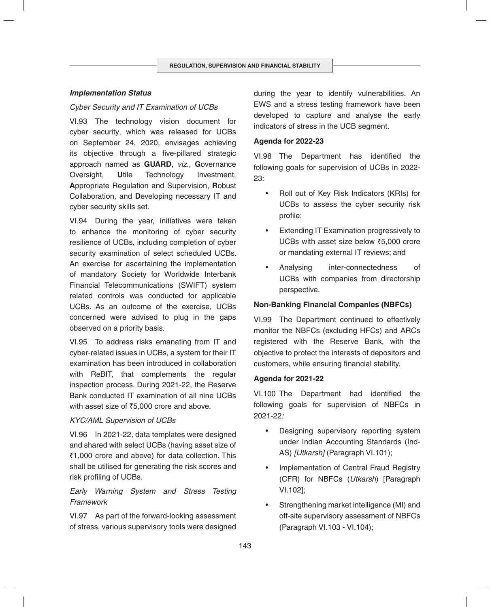## *Implementation Status*

#### *Cyber Security and IT Examination of UCBs*

VI.93 The technology vision document for cyber security, which was released for UCBs on September 24, 2020, envisages achieving its objective through a five-pillared strategic approach named as **GUARD**, *viz.,* **G**overnance Oversight, **U**tile Technology Investment, **A**ppropriate Regulation and Supervision, **R**obust Collaboration, and **D**eveloping necessary IT and cyber security skills set.

VI.94 During the year, initiatives were taken to enhance the monitoring of cyber security resilience of UCBs, including completion of cyber security examination of select scheduled UCBs. An exercise for ascertaining the implementation of mandatory Society for Worldwide Interbank Financial Telecommunications (SWIFT) system related controls was conducted for applicable UCBs. As an outcome of the exercise, UCBs concerned were advised to plug in the gaps observed on a priority basis.

VI.95 To address risks emanating from IT and cyber-related issues in UCBs, a system for their IT examination has been introduced in collaboration with ReBIT, that complements the regular inspection process. During 2021-22, the Reserve Bank conducted IT examination of all nine UCBs with asset size of  $\text{\textdegree{5}}5,000$  crore and above.

#### *KYC/AML Supervision of UCBs*

VI.96 In 2021-22, data templates were designed and shared with select UCBs (having asset size of ₹1,000 crore and above) for data collection. This shall be utilised for generating the risk scores and risk profiling of UCBs.

# *Early Warning System and Stress Testing Framework*

VI.97 As part of the forward-looking assessment of stress, various supervisory tools were designed during the year to identify vulnerabilities. An EWS and a stress testing framework have been developed to capture and analyse the early indicators of stress in the UCB segment.

#### **Agenda for 2022-23**

VI.98 The Department has identified the following goals for supervision of UCBs in 2022- 23:

- Roll out of Key Risk Indicators (KRIs) for UCBs to assess the cyber security risk profile;
- Extending IT Examination progressively to UCBs with asset size below ₹5,000 crore or mandating external IT reviews; and
- Analysing inter-connectedness of UCBs with companies from directorship perspective.

## **Non-Banking Financial Companies (NBFCs)**

VI.99 The Department continued to effectively monitor the NBFCs (excluding HFCs) and ARCs registered with the Reserve Bank, with the objective to protect the interests of depositors and customers, while ensuring financial stability.

#### **Agenda for 2021-22**

VI.100 The Department had identified the following goals for supervision of NBFCs in 2021-22*:*

- Designing supervisory reporting system under Indian Accounting Standards (Ind-AS) *[Utkarsh]* (Paragraph VI.101);
- Implementation of Central Fraud Registry (CFR) for NBFCs (*Utkarsh*) [Paragraph VI.102];
- Strengthening market intelligence (MI) and off-site supervisory assessment of NBFCs (Paragraph VI.103 - VI.104);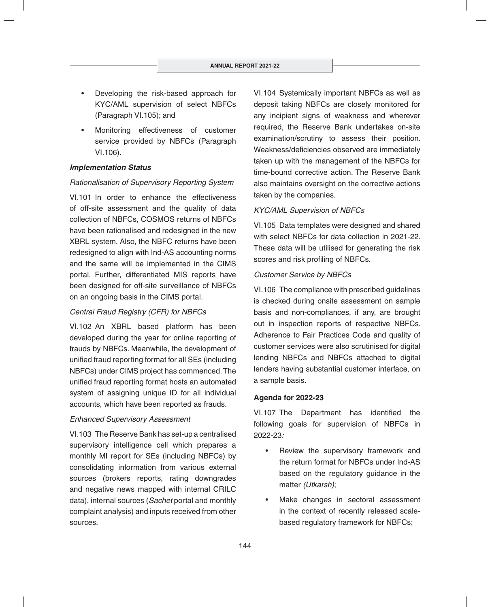- Developing the risk-based approach for KYC/AML supervision of select NBFCs (Paragraph VI.105); and
- Monitoring effectiveness of customer service provided by NBFCs (Paragraph VI.106).

## *Implementation Status*

## *Rationalisation of Supervisory Reporting System*

VI.101 In order to enhance the effectiveness of off-site assessment and the quality of data collection of NBFCs, COSMOS returns of NBFCs have been rationalised and redesigned in the new XBRL system. Also, the NBFC returns have been redesigned to align with Ind-AS accounting norms and the same will be implemented in the CIMS portal. Further, differentiated MIS reports have been designed for off-site surveillance of NBFCs on an ongoing basis in the CIMS portal.

## *Central Fraud Registry (CFR) for NBFCs*

VI.102 An XBRL based platform has been developed during the year for online reporting of frauds by NBFCs. Meanwhile, the development of unified fraud reporting format for all SEs (including NBFCs) under CIMS project has commenced. The unified fraud reporting format hosts an automated system of assigning unique ID for all individual accounts, which have been reported as frauds.

## *Enhanced Supervisory Assessment*

VI.103 The Reserve Bank has set-up a centralised supervisory intelligence cell which prepares a monthly MI report for SEs (including NBFCs) by consolidating information from various external sources (brokers reports, rating downgrades and negative news mapped with internal CRILC data), internal sources (*Sachet* portal and monthly complaint analysis) and inputs received from other sources.

VI.104 Systemically important NBFCs as well as deposit taking NBFCs are closely monitored for any incipient signs of weakness and wherever required, the Reserve Bank undertakes on-site examination/scrutiny to assess their position. Weakness/deficiencies observed are immediately taken up with the management of the NBFCs for time-bound corrective action. The Reserve Bank also maintains oversight on the corrective actions taken by the companies.

## *KYC/AML Supervision of NBFCs*

VI.105 Data templates were designed and shared with select NBFCs for data collection in 2021-22. These data will be utilised for generating the risk scores and risk profiling of NBFCs.

## *Customer Service by NBFCs*

VI.106 The compliance with prescribed guidelines is checked during onsite assessment on sample basis and non-compliances, if any, are brought out in inspection reports of respective NBFCs. Adherence to Fair Practices Code and quality of customer services were also scrutinised for digital lending NBFCs and NBFCs attached to digital lenders having substantial customer interface, on a sample basis.

## **Agenda for 2022-23**

VI.107 The Department has identified the following goals for supervision of NBFCs in 2022-23*:*

- Review the supervisory framework and the return format for NBFCs under Ind-AS based on the regulatory guidance in the matter *(Utkarsh)*;
- Make changes in sectoral assessment in the context of recently released scalebased regulatory framework for NBFCs;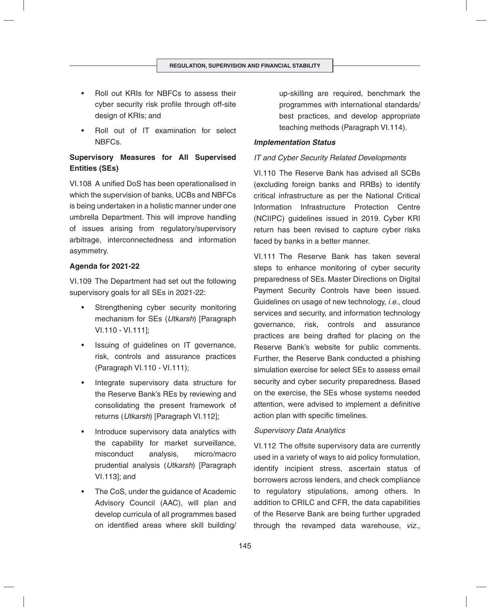- Roll out KRIs for NBFCs to assess their cyber security risk profile through off-site design of KRIs; and
- Roll out of IT examination for select NBFCs.

# **Supervisory Measures for All Supervised Entities (SEs)**

VI.108 A unified DoS has been operationalised in which the supervision of banks, UCBs and NBFCs is being undertaken in a holistic manner under one umbrella Department. This will improve handling of issues arising from regulatory/supervisory arbitrage, interconnectedness and information asymmetry.

## **Agenda for 2021-22**

VI.109 The Department had set out the following supervisory goals for all SEs in 2021-22:

- Strengthening cyber security monitoring mechanism for SEs (*Utkarsh*) [Paragraph VI.110 - VI.111];
- Issuing of guidelines on IT governance, risk, controls and assurance practices (Paragraph VI.110 - VI.111);
- Integrate supervisory data structure for the Reserve Bank's REs by reviewing and consolidating the present framework of returns (*Utkarsh*) [Paragraph VI.112];
- Introduce supervisory data analytics with the capability for market surveillance, misconduct analysis, micro/macro prudential analysis (*Utkarsh*) [Paragraph VI.113]; and
- The CoS, under the guidance of Academic Advisory Council (AAC), will plan and develop curricula of all programmes based on identified areas where skill building/

up-skilling are required, benchmark the programmes with international standards/ best practices, and develop appropriate teaching methods (Paragraph VI.114)*.*

#### *Implementation Status*

## *IT and Cyber Security Related Developments*

VI.110 The Reserve Bank has advised all SCBs (excluding foreign banks and RRBs) to identify critical infrastructure as per the National Critical Information Infrastructure Protection Centre (NCIIPC) guidelines issued in 2019. Cyber KRI return has been revised to capture cyber risks faced by banks in a better manner.

VI.111 The Reserve Bank has taken several steps to enhance monitoring of cyber security preparedness of SEs. Master Directions on Digital Payment Security Controls have been issued. Guidelines on usage of new technology, *i.e.,* cloud services and security, and information technology governance, risk, controls and assurance practices are being drafted for placing on the Reserve Bank's website for public comments. Further, the Reserve Bank conducted a phishing simulation exercise for select SEs to assess email security and cyber security preparedness. Based on the exercise, the SEs whose systems needed attention, were advised to implement a definitive action plan with specific timelines.

#### *Supervisory Data Analytics*

VI.112 The offsite supervisory data are currently used in a variety of ways to aid policy formulation, identify incipient stress, ascertain status of borrowers across lenders, and check compliance to regulatory stipulations, among others. In addition to CRILC and CFR, the data capabilities of the Reserve Bank are being further upgraded through the revamped data warehouse, *viz.,*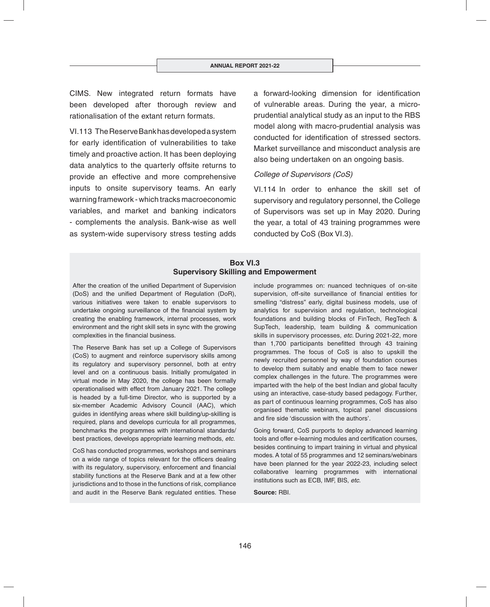CIMS. New integrated return formats have been developed after thorough review and rationalisation of the extant return formats.

VI.113 The Reserve Bank has developed a system for early identification of vulnerabilities to take timely and proactive action. It has been deploying data analytics to the quarterly offsite returns to provide an effective and more comprehensive inputs to onsite supervisory teams. An early warning framework - which tracks macroeconomic variables, and market and banking indicators - complements the analysis. Bank-wise as well as system-wide supervisory stress testing adds a forward-looking dimension for identification of vulnerable areas. During the year, a microprudential analytical study as an input to the RBS model along with macro-prudential analysis was conducted for identification of stressed sectors. Market surveillance and misconduct analysis are also being undertaken on an ongoing basis.

#### *College of Supervisors (CoS)*

VI.114 In order to enhance the skill set of supervisory and regulatory personnel, the College of Supervisors was set up in May 2020. During the year, a total of 43 training programmes were conducted by CoS (Box VI.3).

## **Box VI.3 Supervisory Skilling and Empowerment**

After the creation of the unified Department of Supervision (DoS) and the unified Department of Regulation (DoR), various initiatives were taken to enable supervisors to undertake ongoing surveillance of the financial system by creating the enabling framework, internal processes, work environment and the right skill sets in sync with the growing complexities in the financial business.

The Reserve Bank has set up a College of Supervisors (CoS) to augment and reinforce supervisory skills among its regulatory and supervisory personnel, both at entry level and on a continuous basis. Initially promulgated in virtual mode in May 2020, the college has been formally operationalised with effect from January 2021. The college is headed by a full-time Director, who is supported by a six-member Academic Advisory Council (AAC), which guides in identifying areas where skill building/up-skilling is required, plans and develops curricula for all programmes, benchmarks the programmes with international standards/ best practices, develops appropriate learning methods, *etc*.

CoS has conducted programmes, workshops and seminars on a wide range of topics relevant for the officers dealing with its regulatory, supervisory, enforcement and financial stability functions at the Reserve Bank and at a few other jurisdictions and to those in the functions of risk, compliance and audit in the Reserve Bank regulated entities. These include programmes on: nuanced techniques of on-site supervision, off-site surveillance of financial entities for smelling "distress" early, digital business models, use of analytics for supervision and regulation, technological foundations and building blocks of FinTech, RegTech & SupTech, leadership, team building & communication skills in supervisory processes, *etc*. During 2021-22, more than 1,700 participants benefitted through 43 training programmes. The focus of CoS is also to upskill the newly recruited personnel by way of foundation courses to develop them suitably and enable them to face newer complex challenges in the future. The programmes were imparted with the help of the best Indian and global faculty using an interactive, case-study based pedagogy. Further, as part of continuous learning programmes, CoS has also organised thematic webinars, topical panel discussions and fire side 'discussion with the authors'.

Going forward, CoS purports to deploy advanced learning tools and offer e-learning modules and certification courses, besides continuing to impart training in virtual and physical modes. A total of 55 programmes and 12 seminars/webinars have been planned for the year 2022-23, including select collaborative learning programmes with international institutions such as ECB, IMF, BIS, *etc*.

**Source:** RBI.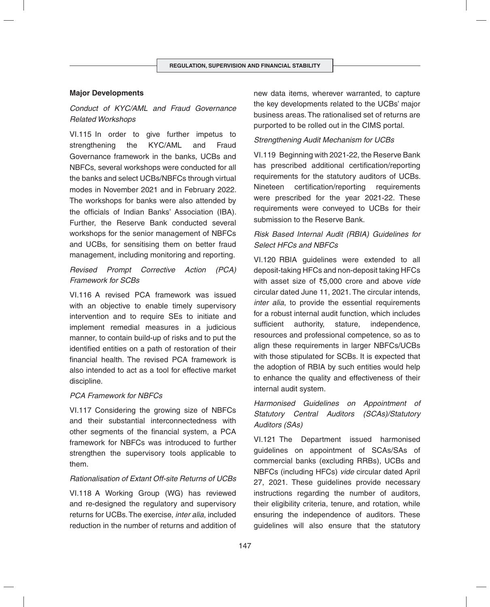## **Major Developments**

# *Conduct of KYC/AML and Fraud Governance Related Workshops*

VI.115 In order to give further impetus to strengthening the KYC/AML and Fraud Governance framework in the banks, UCBs and NBFCs, several workshops were conducted for all the banks and select UCBs/NBFCs through virtual modes in November 2021 and in February 2022. The workshops for banks were also attended by the officials of Indian Banks' Association (IBA). Further, the Reserve Bank conducted several workshops for the senior management of NBFCs and UCBs, for sensitising them on better fraud management, including monitoring and reporting.

## *Revised Prompt Corrective Action (PCA) Framework for SCBs*

VI.116 A revised PCA framework was issued with an objective to enable timely supervisory intervention and to require SEs to initiate and implement remedial measures in a judicious manner, to contain build-up of risks and to put the identified entities on a path of restoration of their financial health. The revised PCA framework is also intended to act as a tool for effective market discipline.

#### *PCA Framework for NBFCs*

VI.117 Considering the growing size of NBFCs and their substantial interconnectedness with other segments of the financial system, a PCA framework for NBFCs was introduced to further strengthen the supervisory tools applicable to them.

#### *Rationalisation of Extant Off-site Returns of UCBs*

VI.118 A Working Group (WG) has reviewed and re-designed the regulatory and supervisory returns for UCBs. The exercise, *inter alia*, included reduction in the number of returns and addition of new data items, wherever warranted, to capture the key developments related to the UCBs' major business areas. The rationalised set of returns are purported to be rolled out in the CIMS portal.

## *Strengthening Audit Mechanism for UCBs*

VI.119 Beginning with 2021-22, the Reserve Bank has prescribed additional certification/reporting requirements for the statutory auditors of UCBs. Nineteen certification/reporting requirements were prescribed for the year 2021-22. These requirements were conveyed to UCBs for their submission to the Reserve Bank.

# *Risk Based Internal Audit (RBIA) Guidelines for Select HFCs and NBFCs*

VI.120 RBIA guidelines were extended to all deposit-taking HFCs and non-deposit taking HFCs with asset size of `5,000 crore and above *vide* circular dated June 11, 2021. The circular intends, *inter alia*, to provide the essential requirements for a robust internal audit function, which includes sufficient authority, stature, independence, resources and professional competence, so as to align these requirements in larger NBFCs/UCBs with those stipulated for SCBs. It is expected that the adoption of RBIA by such entities would help to enhance the quality and effectiveness of their internal audit system.

# *Harmonised Guidelines on Appointment of Statutory Central Auditors (SCAs)/Statutory Auditors (SAs)*

VI.121 The Department issued harmonised guidelines on appointment of SCAs/SAs of commercial banks (excluding RRBs), UCBs and NBFCs (including HFCs) *vide* circular dated April 27, 2021. These guidelines provide necessary instructions regarding the number of auditors, their eligibility criteria, tenure, and rotation, while ensuring the independence of auditors. These guidelines will also ensure that the statutory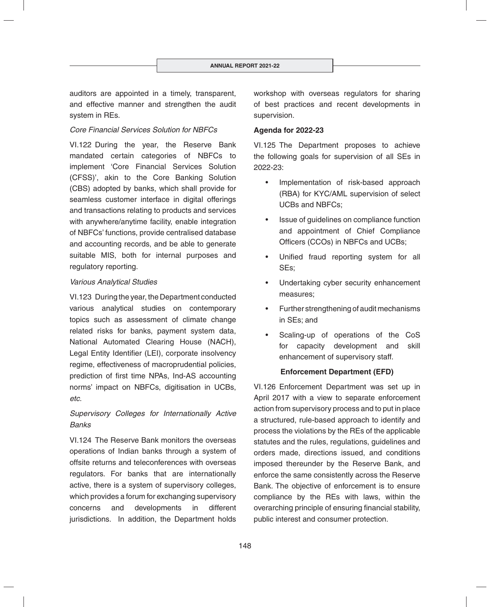auditors are appointed in a timely, transparent, and effective manner and strengthen the audit system in REs.

## *Core Financial Services Solution for NBFCs*

VI.122 During the year, the Reserve Bank mandated certain categories of NBFCs to implement 'Core Financial Services Solution (CFSS)', akin to the Core Banking Solution (CBS) adopted by banks, which shall provide for seamless customer interface in digital offerings and transactions relating to products and services with anywhere/anytime facility, enable integration of NBFCs' functions, provide centralised database and accounting records, and be able to generate suitable MIS, both for internal purposes and regulatory reporting.

## *Various Analytical Studies*

VI.123 During the year, the Department conducted various analytical studies on contemporary topics such as assessment of climate change related risks for banks, payment system data, National Automated Clearing House (NACH), Legal Entity Identifier (LEI), corporate insolvency regime, effectiveness of macroprudential policies, prediction of first time NPAs, Ind-AS accounting norms' impact on NBFCs, digitisation in UCBs, *etc*.

# *Supervisory Colleges for Internationally Active Banks*

VI.124 The Reserve Bank monitors the overseas operations of Indian banks through a system of offsite returns and teleconferences with overseas regulators. For banks that are internationally active, there is a system of supervisory colleges, which provides a forum for exchanging supervisory concerns and developments in different jurisdictions. In addition, the Department holds

workshop with overseas regulators for sharing of best practices and recent developments in supervision.

## **Agenda for 2022-23**

VI.125 The Department proposes to achieve the following goals for supervision of all SEs in 2022-23:

- Implementation of risk-based approach (RBA) for KYC/AML supervision of select UCBs and NBFCs;
- Issue of guidelines on compliance function and appointment of Chief Compliance Officers (CCOs) in NBFCs and UCBs;
- Unified fraud reporting system for all SEs;
- Undertaking cyber security enhancement measures;
- Further strengthening of audit mechanisms in SEs; and
- Scaling-up of operations of the CoS for capacity development and skill enhancement of supervisory staff.

## **Enforcement Department (EFD)**

VI.126 Enforcement Department was set up in April 2017 with a view to separate enforcement action from supervisory process and to put in place a structured, rule-based approach to identify and process the violations by the REs of the applicable statutes and the rules, regulations, guidelines and orders made, directions issued, and conditions imposed thereunder by the Reserve Bank, and enforce the same consistently across the Reserve Bank. The objective of enforcement is to ensure compliance by the REs with laws, within the overarching principle of ensuring financial stability, public interest and consumer protection.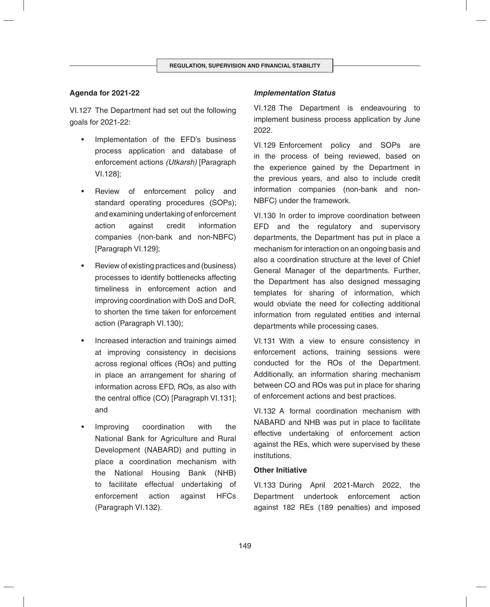## **Agenda for 2021-22**

VI.127 The Department had set out the following goals for 2021-22:

- Implementation of the EFD's business process application and database of enforcement actions *(Utkarsh)* [Paragraph VI.128];
- Review of enforcement policy and standard operating procedures (SOPs); and examining undertaking of enforcement action against credit information companies (non-bank and non-NBFC) [Paragraph VI.129];
- Review of existing practices and (business) processes to identify bottlenecks affecting timeliness in enforcement action and improving coordination with DoS and DoR, to shorten the time taken for enforcement action (Paragraph VI.130);
- Increased interaction and trainings aimed at improving consistency in decisions across regional offices (ROs) and putting in place an arrangement for sharing of information across EFD, ROs, as also with the central office (CO) [Paragraph VI.131]; and
- Improving coordination with the National Bank for Agriculture and Rural Development (NABARD) and putting in place a coordination mechanism with the National Housing Bank (NHB) to facilitate effectual undertaking of enforcement action against HFCs (Paragraph VI.132).

## *Implementation Status*

VI.128 The Department is endeavouring to implement business process application by June 2022.

VI.129 Enforcement policy and SOPs are in the process of being reviewed, based on the experience gained by the Department in the previous years, and also to include credit information companies (non-bank and non-NBFC) under the framework.

VI.130 In order to improve coordination between EFD and the regulatory and supervisory departments, the Department has put in place a mechanism for interaction on an ongoing basis and also a coordination structure at the level of Chief General Manager of the departments. Further, the Department has also designed messaging templates for sharing of information, which would obviate the need for collecting additional information from regulated entities and internal departments while processing cases.

VI.131 With a view to ensure consistency in enforcement actions, training sessions were conducted for the ROs of the Department. Additionally, an information sharing mechanism between CO and ROs was put in place for sharing of enforcement actions and best practices.

VI.132 A formal coordination mechanism with NABARD and NHB was put in place to facilitate effective undertaking of enforcement action against the REs, which were supervised by these institutions.

#### **Other Initiative**

VI.133 During April 2021-March 2022, the Department undertook enforcement action against 182 REs (189 penalties) and imposed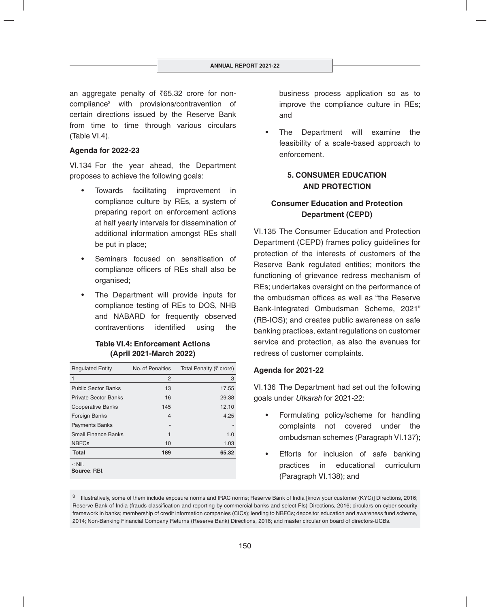an aggregate penalty of  $\overline{6}5.32$  crore for noncompliance3 with provisions/contravention of certain directions issued by the Reserve Bank from time to time through various circulars (Table VI.4).

#### **Agenda for 2022-23**

VI.134 For the year ahead, the Department proposes to achieve the following goals:

- Towards facilitating improvement in compliance culture by REs, a system of preparing report on enforcement actions at half yearly intervals for dissemination of additional information amongst REs shall be put in place;
- Seminars focused on sensitisation of compliance officers of REs shall also be organised;
- The Department will provide inputs for compliance testing of REs to DOS, NHB and NABARD for frequently observed contraventions identified using the

## **Table VI.4: Enforcement Actions (April 2021-March 2022)**

| <b>Regulated Entity</b>     | No. of Penalties | Total Penalty (₹ crore) |  |
|-----------------------------|------------------|-------------------------|--|
| 1                           | 2                | 3                       |  |
| <b>Public Sector Banks</b>  | 13               | 17.55                   |  |
| <b>Private Sector Banks</b> | 16               | 29.38                   |  |
| <b>Cooperative Banks</b>    | 145              | 12.10                   |  |
| <b>Foreign Banks</b>        | 4                | 4.25                    |  |
| <b>Payments Banks</b>       |                  |                         |  |
| <b>Small Finance Banks</b>  | 1                | 1.0                     |  |
| <b>NBFCs</b>                | 10               | 1.03                    |  |
| <b>Total</b>                | 189              | 65.32                   |  |
| $-$ : Nil.<br>Source: RBI.  |                  |                         |  |

business process application so as to improve the compliance culture in REs; and

The Department will examine the feasibility of a scale-based approach to enforcement.

## **5. CONSUMER EDUCATION AND PROTECTION**

# **Consumer Education and Protection Department (CEPD)**

VI.135 The Consumer Education and Protection Department (CEPD) frames policy guidelines for protection of the interests of customers of the Reserve Bank regulated entities; monitors the functioning of grievance redress mechanism of REs; undertakes oversight on the performance of the ombudsman offices as well as "the Reserve Bank-Integrated Ombudsman Scheme, 2021" (RB-IOS); and creates public awareness on safe banking practices, extant regulations on customer service and protection, as also the avenues for redress of customer complaints.

#### **Agenda for 2021-22**

VI.136 The Department had set out the following goals under *Utkarsh* for 2021-22:

- Formulating policy/scheme for handling complaints not covered under the ombudsman schemes (Paragraph VI.137);
- Efforts for inclusion of safe banking practices in educational curriculum (Paragraph VI.138); and

<sup>&</sup>lt;sup>3</sup> Illustratively, some of them include exposure norms and IRAC norms; Reserve Bank of India [know your customer (KYC)] Directions, 2016; Reserve Bank of India (frauds classification and reporting by commercial banks and select FIs) Directions, 2016; circulars on cyber security framework in banks; membership of credit information companies (CICs); lending to NBFCs; depositor education and awareness fund scheme, 2014; Non-Banking Financial Company Returns (Reserve Bank) Directions, 2016; and master circular on board of directors-UCBs.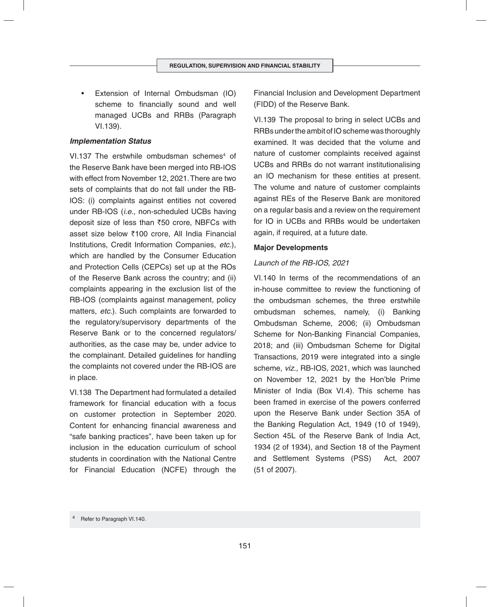• Extension of Internal Ombudsman (IO) scheme to financially sound and well managed UCBs and RRBs (Paragraph VI.139).

#### *Implementation Status*

VI.137 The erstwhile ombudsman schemes<sup>4</sup> of the Reserve Bank have been merged into RB-IOS with effect from November 12, 2021. There are two sets of complaints that do not fall under the RB-IOS: (i) complaints against entities not covered under RB-IOS (*i.e.,* non-scheduled UCBs having deposit size of less than  $\overline{50}$  crore, NBFCs with asset size below `100 crore, All India Financial Institutions, Credit Information Companies, *etc.*), which are handled by the Consumer Education and Protection Cells (CEPCs) set up at the ROs of the Reserve Bank across the country; and (ii) complaints appearing in the exclusion list of the RB-IOS (complaints against management, policy matters, *etc.*). Such complaints are forwarded to the regulatory/supervisory departments of the Reserve Bank or to the concerned regulators/ authorities, as the case may be, under advice to the complainant. Detailed guidelines for handling the complaints not covered under the RB-IOS are in place.

VI.138 The Department had formulated a detailed framework for financial education with a focus on customer protection in September 2020. Content for enhancing financial awareness and "safe banking practices", have been taken up for inclusion in the education curriculum of school students in coordination with the National Centre for Financial Education (NCFE) through the Financial Inclusion and Development Department (FIDD) of the Reserve Bank.

VI.139 The proposal to bring in select UCBs and RRBs under the ambit of IO scheme was thoroughly examined. It was decided that the volume and nature of customer complaints received against UCBs and RRBs do not warrant institutionalising an IO mechanism for these entities at present. The volume and nature of customer complaints against REs of the Reserve Bank are monitored on a regular basis and a review on the requirement for IO in UCBs and RRBs would be undertaken again, if required, at a future date.

## **Major Developments**

## *Launch of the RB-IOS, 2021*

VI.140 In terms of the recommendations of an in-house committee to review the functioning of the ombudsman schemes, the three erstwhile ombudsman schemes, namely, (i) Banking Ombudsman Scheme, 2006; (ii) Ombudsman Scheme for Non-Banking Financial Companies, 2018; and (iii) Ombudsman Scheme for Digital Transactions, 2019 were integrated into a single scheme, *viz.,* RB-IOS, 2021, which was launched on November 12, 2021 by the Hon'ble Prime Minister of India (Box VI.4). This scheme has been framed in exercise of the powers conferred upon the Reserve Bank under Section 35A of the Banking Regulation Act, 1949 (10 of 1949), Section 45L of the Reserve Bank of India Act, 1934 (2 of 1934), and Section 18 of the Payment and Settlement Systems (PSS) Act, 2007 (51 of 2007).

Refer to Paragraph VI.140.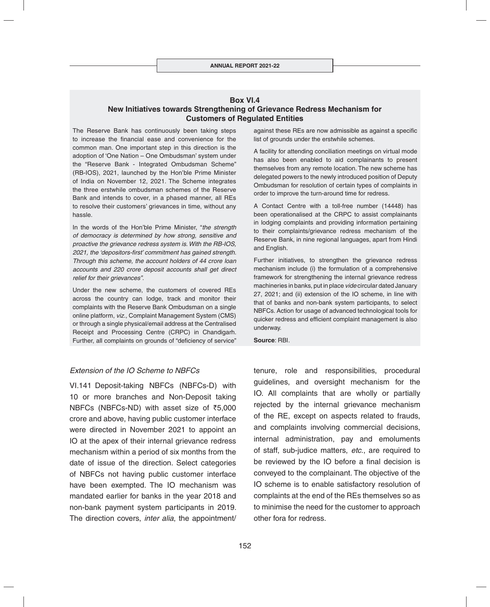## **Box VI.4 New Initiatives towards Strengthening of Grievance Redress Mechanism for Customers of Regulated Entities**

The Reserve Bank has continuously been taking steps to increase the financial ease and convenience for the common man. One important step in this direction is the adoption of 'One Nation – One Ombudsman' system under the "Reserve Bank - Integrated Ombudsman Scheme" (RB-IOS), 2021, launched by the Hon'ble Prime Minister of India on November 12, 2021. The Scheme integrates the three erstwhile ombudsman schemes of the Reserve Bank and intends to cover, in a phased manner, all REs to resolve their customers' grievances in time, without any hassle.

In the words of the Hon'ble Prime Minister, "the strength *of democracy is determined by how strong, sensitive and proactive the grievance redress system is. With the RB-IOS,*  2021, the 'depositors-first' commitment has gained strength. *Through this scheme, the account holders of 44 crore loan accounts and 220 crore deposit accounts shall get direct relief for their grievances".*

Under the new scheme, the customers of covered REs across the country can lodge, track and monitor their complaints with the Reserve Bank Ombudsman on a single online platform, *viz.,* Complaint Management System (CMS) or through a single physical/email address at the Centralised Receipt and Processing Centre (CRPC) in Chandigarh. Further, all complaints on grounds of "deficiency of service"

#### *Extension of the IO Scheme to NBFCs*

VI.141 Deposit-taking NBFCs (NBFCs-D) with 10 or more branches and Non-Deposit taking NBFCs (NBFCs-ND) with asset size of  $\overline{55,000}$ crore and above, having public customer interface were directed in November 2021 to appoint an IO at the apex of their internal grievance redress mechanism within a period of six months from the date of issue of the direction. Select categories of NBFCs not having public customer interface have been exempted. The IO mechanism was mandated earlier for banks in the year 2018 and non-bank payment system participants in 2019. The direction covers, *inter alia*, the appointment/ against these REs are now admissible as against a specific list of grounds under the erstwhile schemes.

A facility for attending conciliation meetings on virtual mode has also been enabled to aid complainants to present themselves from any remote location. The new scheme has delegated powers to the newly introduced position of Deputy Ombudsman for resolution of certain types of complaints in order to improve the turn-around time for redress.

A Contact Centre with a toll-free number (14448) has been operationalised at the CRPC to assist complainants in lodging complaints and providing information pertaining to their complaints/grievance redress mechanism of the Reserve Bank, in nine regional languages, apart from Hindi and English.

Further initiatives, to strengthen the grievance redress mechanism include (i) the formulation of a comprehensive framework for strengthening the internal grievance redress machineries in banks, put in place *vide* circular dated January 27, 2021; and (ii) extension of the IO scheme, in line with that of banks and non-bank system participants, to select NBFCs. Action for usage of advanced technological tools for quicker redress and efficient complaint management is also underway.

**Source**: RBI.

tenure, role and responsibilities, procedural guidelines, and oversight mechanism for the IO. All complaints that are wholly or partially rejected by the internal grievance mechanism of the RE, except on aspects related to frauds, and complaints involving commercial decisions, internal administration, pay and emoluments of staff, sub-judice matters, *etc*., are required to be reviewed by the IO before a final decision is conveyed to the complainant. The objective of the IO scheme is to enable satisfactory resolution of complaints at the end of the REs themselves so as to minimise the need for the customer to approach other fora for redress.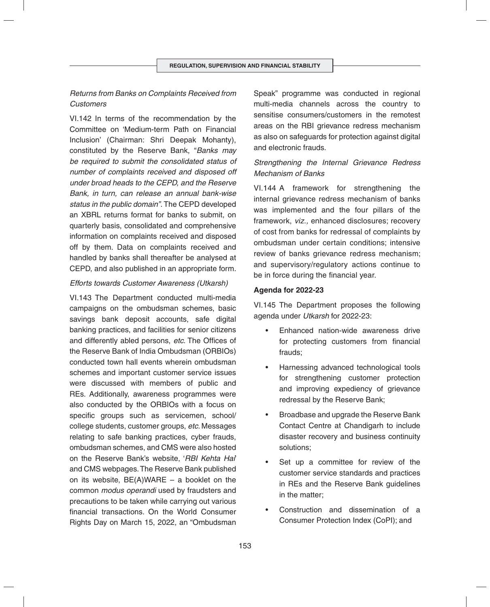# *Returns from Banks on Complaints Received from Customers*

VI.142 In terms of the recommendation by the Committee on 'Medium-term Path on Financial Inclusion' (Chairman: Shri Deepak Mohanty), constituted by the Reserve Bank, "*Banks may be required to submit the consolidated status of number of complaints received and disposed off under broad heads to the CEPD, and the Reserve Bank, in turn, can release an annual bank-wise status in the public domain".* The CEPD developed an XBRL returns format for banks to submit, on quarterly basis, consolidated and comprehensive information on complaints received and disposed off by them. Data on complaints received and handled by banks shall thereafter be analysed at CEPD, and also published in an appropriate form.

#### *Efforts towards Customer Awareness (Utkarsh)*

VI.143 The Department conducted multi-media campaigns on the ombudsman schemes, basic savings bank deposit accounts, safe digital banking practices, and facilities for senior citizens and differently abled persons, etc. The Offices of the Reserve Bank of India Ombudsman (ORBIOs) conducted town hall events wherein ombudsman schemes and important customer service issues were discussed with members of public and REs. Additionally, awareness programmes were also conducted by the ORBIOs with a focus on specific groups such as servicemen, school/ college students, customer groups, *etc*. Messages relating to safe banking practices, cyber frauds, ombudsman schemes, and CMS were also hosted on the Reserve Bank's website, '*RBI Kehta Hai*' and CMS webpages. The Reserve Bank published on its website,  $BE(A)WARE - a$  booklet on the common *modus operandi* used by fraudsters and precautions to be taken while carrying out various financial transactions. On the World Consumer Rights Day on March 15, 2022, an "Ombudsman

Speak" programme was conducted in regional multi-media channels across the country to sensitise consumers/customers in the remotest areas on the RBI grievance redress mechanism as also on safeguards for protection against digital and electronic frauds.

# *Strengthening the Internal Grievance Redress Mechanism of Banks*

VI.144 A framework for strengthening the internal grievance redress mechanism of banks was implemented and the four pillars of the framework, *viz.,* enhanced disclosures; recovery of cost from banks for redressal of complaints by ombudsman under certain conditions; intensive review of banks grievance redress mechanism; and supervisory/regulatory actions continue to be in force during the financial year.

## **Agenda for 2022-23**

VI.145 The Department proposes the following agenda under *Utkarsh* for 2022-23:

- Enhanced nation-wide awareness drive for protecting customers from financial frauds;
- Harnessing advanced technological tools for strengthening customer protection and improving expediency of grievance redressal by the Reserve Bank;
- Broadbase and upgrade the Reserve Bank Contact Centre at Chandigarh to include disaster recovery and business continuity solutions;
- Set up a committee for review of the customer service standards and practices in REs and the Reserve Bank guidelines in the matter;
- Construction and dissemination of a Consumer Protection Index (CoPI); and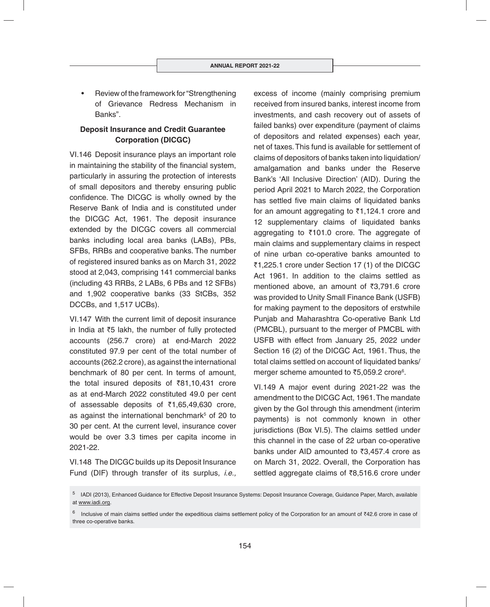• Review of the framework for "Strengthening of Grievance Redress Mechanism in Banks".

# **Deposit Insurance and Credit Guarantee Corporation (DICGC)**

VI.146 Deposit insurance plays an important role in maintaining the stability of the financial system, particularly in assuring the protection of interests of small depositors and thereby ensuring public confidence. The DICGC is wholly owned by the Reserve Bank of India and is constituted under the DICGC Act, 1961. The deposit insurance extended by the DICGC covers all commercial banks including local area banks (LABs), PBs, SFBs, RRBs and cooperative banks. The number of registered insured banks as on March 31, 2022 stood at 2,043, comprising 141 commercial banks (including 43 RRBs, 2 LABs, 6 PBs and 12 SFBs) and 1,902 cooperative banks (33 StCBs, 352 DCCBs, and 1,517 UCBs).

VI.147 With the current limit of deposit insurance in India at  $\bar{z}5$  lakh, the number of fully protected accounts (256.7 crore) at end-March 2022 constituted 97.9 per cent of the total number of accounts (262.2 crore), as against the international benchmark of 80 per cent. In terms of amount, the total insured deposits of  $\bar{z}81,10,431$  crore as at end-March 2022 constituted 49.0 per cent of assessable deposits of  $\overline{51,65,49,630}$  crore, as against the international benchmark<sup>5</sup> of 20 to 30 per cent. At the current level, insurance cover would be over 3.3 times per capita income in 2021-22.

VI.148 The DICGC builds up its Deposit Insurance Fund (DIF) through transfer of its surplus, *i.e.,* excess of income (mainly comprising premium received from insured banks, interest income from investments, and cash recovery out of assets of failed banks) over expenditure (payment of claims of depositors and related expenses) each year, net of taxes. This fund is available for settlement of claims of depositors of banks taken into liquidation/ amalgamation and banks under the Reserve Bank's 'All Inclusive Direction' (AID). During the period April 2021 to March 2022, the Corporation has settled five main claims of liquidated banks for an amount aggregating to  $\overline{51,124.1}$  crore and 12 supplementary claims of liquidated banks aggregating to  $\overline{\xi}$ 101.0 crore. The aggregate of main claims and supplementary claims in respect of nine urban co-operative banks amounted to `1,225.1 crore under Section 17 (1) of the DICGC Act 1961. In addition to the claims settled as mentioned above, an amount of  $\overline{3}3,791.6$  crore was provided to Unity Small Finance Bank (USFB) for making payment to the depositors of erstwhile Punjab and Maharashtra Co-operative Bank Ltd (PMCBL), pursuant to the merger of PMCBL with USFB with effect from January 25, 2022 under Section 16 (2) of the DICGC Act, 1961. Thus, the total claims settled on account of liquidated banks/ merger scheme amounted to ₹5,059.2 crore<sup>6</sup>.

VI.149 A major event during 2021-22 was the amendment to the DICGC Act, 1961. The mandate given by the GoI through this amendment (interim payments) is not commonly known in other jurisdictions (Box VI.5). The claims settled under this channel in the case of 22 urban co-operative banks under AID amounted to  $\bar{z}3.457.4$  crore as on March 31, 2022. Overall, the Corporation has settled aggregate claims of  $\bar{z}8,516.6$  crore under

<sup>5</sup> IADI (2013), Enhanced Guidance for Effective Deposit Insurance Systems: Deposit Insurance Coverage, Guidance Paper, March, available at www.iadi.org.

 $6$  Inclusive of main claims settled under the expeditious claims settlement policy of the Corporation for an amount of  $742.6$  crore in case of three co-operative banks.